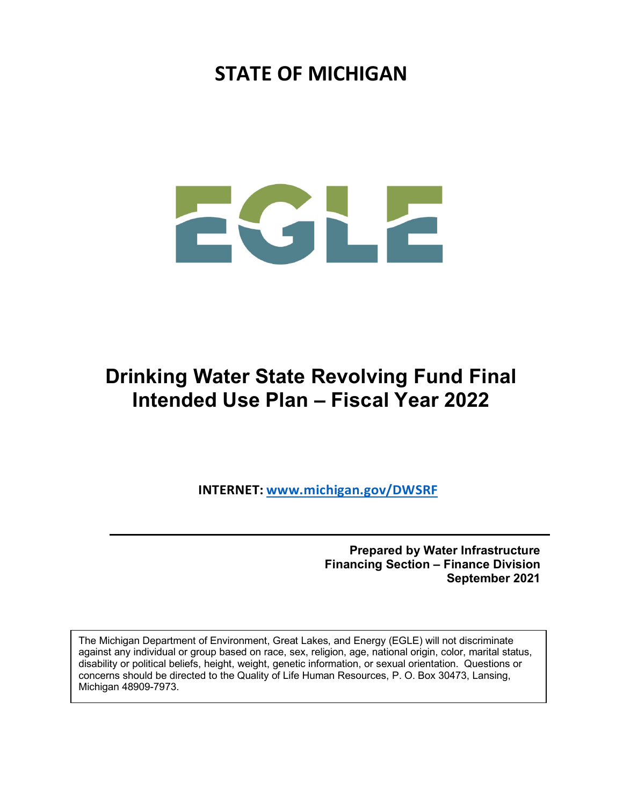## **STATE OF MICHIGAN**

# LZ

## **Drinking Water State Revolving Fund Final Intended Use Plan – Fiscal Year 2022**

**INTERNET: [www.michigan.gov/DWSRF](http://www.michigan.gov/DWSRF)**

**Prepared by Water Infrastructure Financing Section – Finance Division September 2021**

The Michigan Department of Environment, Great Lakes, and Energy (EGLE) will not discriminate against any individual or group based on race, sex, religion, age, national origin, color, marital status, disability or political beliefs, height, weight, genetic information, or sexual orientation. Questions or concerns should be directed to the Quality of Life Human Resources, P. O. Box 30473, Lansing, Michigan 48909-7973.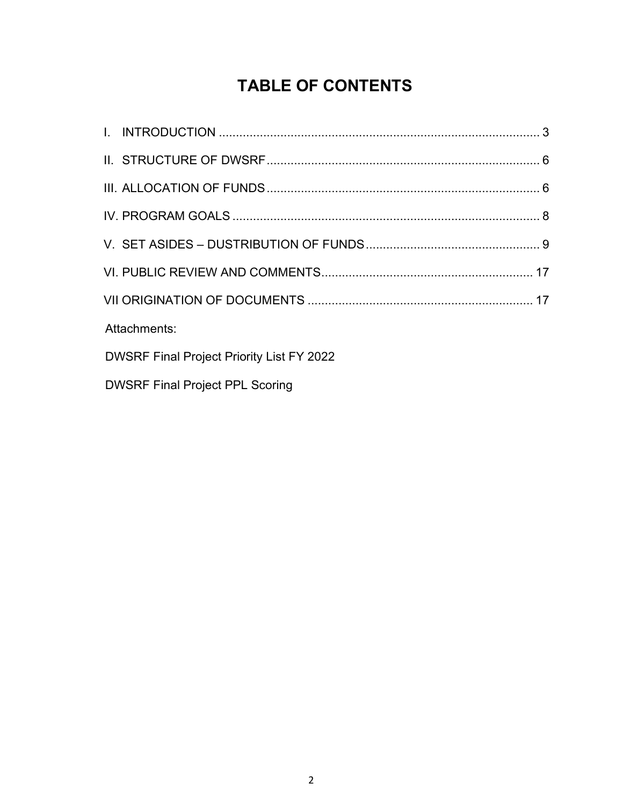## **TABLE OF CONTENTS**

| Attachments:                                     |  |
|--------------------------------------------------|--|
| <b>DWSRF Final Project Priority List FY 2022</b> |  |
| <b>DWSRF Final Project PPL Scoring</b>           |  |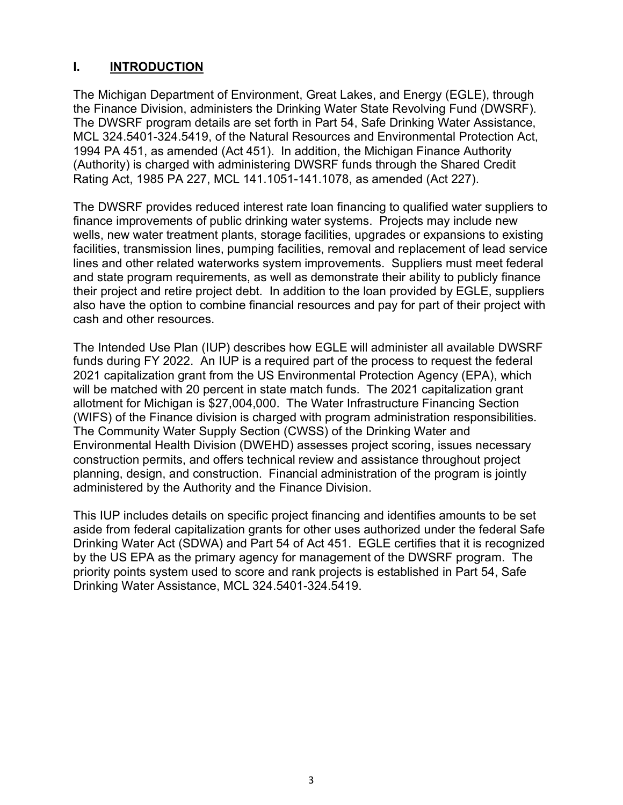#### **I. INTRODUCTION**

The Michigan Department of Environment, Great Lakes, and Energy (EGLE), through the Finance Division, administers the Drinking Water State Revolving Fund (DWSRF). The DWSRF program details are set forth in Part 54, Safe Drinking Water Assistance, MCL 324.5401-324.5419, of the Natural Resources and Environmental Protection Act, 1994 PA 451, as amended (Act 451). In addition, the Michigan Finance Authority (Authority) is charged with administering DWSRF funds through the Shared Credit Rating Act, 1985 PA 227, MCL 141.1051-141.1078, as amended (Act 227).

The DWSRF provides reduced interest rate loan financing to qualified water suppliers to finance improvements of public drinking water systems. Projects may include new wells, new water treatment plants, storage facilities, upgrades or expansions to existing facilities, transmission lines, pumping facilities, removal and replacement of lead service lines and other related waterworks system improvements. Suppliers must meet federal and state program requirements, as well as demonstrate their ability to publicly finance their project and retire project debt. In addition to the loan provided by EGLE, suppliers also have the option to combine financial resources and pay for part of their project with cash and other resources.

The Intended Use Plan (IUP) describes how EGLE will administer all available DWSRF funds during FY 2022. An IUP is a required part of the process to request the federal 2021 capitalization grant from the US Environmental Protection Agency (EPA), which will be matched with 20 percent in state match funds. The 2021 capitalization grant allotment for Michigan is \$27,004,000. The Water Infrastructure Financing Section (WIFS) of the Finance division is charged with program administration responsibilities. The Community Water Supply Section (CWSS) of the Drinking Water and Environmental Health Division (DWEHD) assesses project scoring, issues necessary construction permits, and offers technical review and assistance throughout project planning, design, and construction. Financial administration of the program is jointly administered by the Authority and the Finance Division.

This IUP includes details on specific project financing and identifies amounts to be set aside from federal capitalization grants for other uses authorized under the federal Safe Drinking Water Act (SDWA) and Part 54 of Act 451. EGLE certifies that it is recognized by the US EPA as the primary agency for management of the DWSRF program. The priority points system used to score and rank projects is established in Part 54, Safe Drinking Water Assistance, MCL 324.5401-324.5419.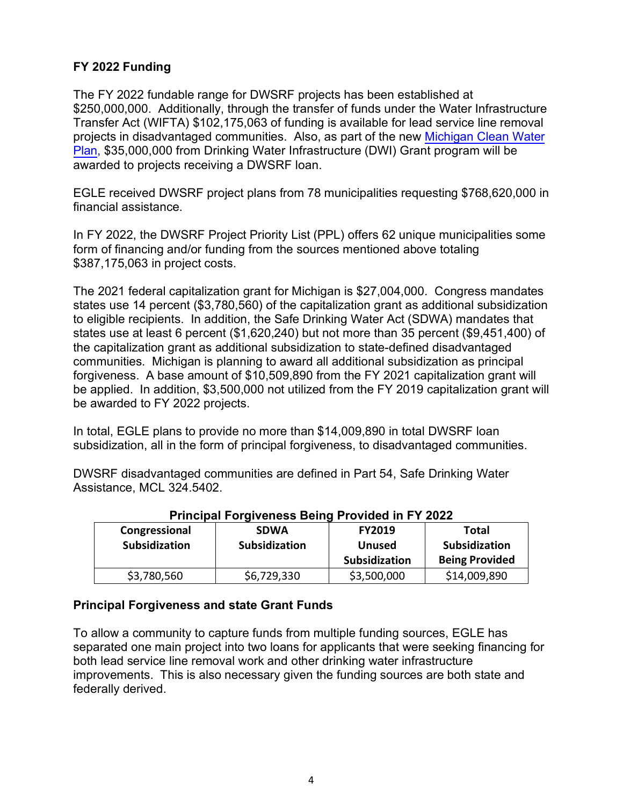#### **FY 2022 Funding**

The FY 2022 fundable range for DWSRF projects has been established at \$250,000,000. Additionally, through the transfer of funds under the Water Infrastructure Transfer Act (WIFTA) \$102,175,063 of funding is available for lead service line removal projects in disadvantaged communities. Also, as part of the new [Michigan](https://www.michigan.gov/egle/0%2C9429%2C7-135-3307_3515_103222---%2C00.html) Clean Water [Plan,](https://www.michigan.gov/egle/0%2C9429%2C7-135-3307_3515_103222---%2C00.html) \$35,000,000 from Drinking Water Infrastructure (DWI) Grant program will be awarded to projects receiving a DWSRF loan.

EGLE received DWSRF project plans from 78 municipalities requesting \$768,620,000 in financial assistance.

In FY 2022, the DWSRF Project Priority List (PPL) offers 62 unique municipalities some form of financing and/or funding from the sources mentioned above totaling \$387,175,063 in project costs.

The 2021 federal capitalization grant for Michigan is \$27,004,000. Congress mandates states use 14 percent (\$3,780,560) of the capitalization grant as additional subsidization to eligible recipients. In addition, the Safe Drinking Water Act (SDWA) mandates that states use at least 6 percent (\$1,620,240) but not more than 35 percent (\$9,451,400) of the capitalization grant as additional subsidization to state-defined disadvantaged communities. Michigan is planning to award all additional subsidization as principal forgiveness. A base amount of \$10,509,890 from the FY 2021 capitalization grant will be applied. In addition, \$3,500,000 not utilized from the FY 2019 capitalization grant will be awarded to FY 2022 projects.

In total, EGLE plans to provide no more than \$14,009,890 in total DWSRF loan subsidization, all in the form of principal forgiveness, to disadvantaged communities.

DWSRF disadvantaged communities are defined in Part 54, Safe Drinking Water Assistance, MCL 324.5402.

| Congressional<br><b>Subsidization</b> | <b>SDWA</b><br>Subsidization | <b>FY2019</b><br><b>Unused</b><br>Subsidization | Total<br><b>Subsidization</b><br><b>Being Provided</b> |
|---------------------------------------|------------------------------|-------------------------------------------------|--------------------------------------------------------|
| \$3,780,560                           | \$6,729,330                  | \$3,500,000                                     | \$14,009,890                                           |

#### **Principal Forgiveness Being Provided in FY 2022**

#### **Principal Forgiveness and state Grant Funds**

To allow a community to capture funds from multiple funding sources, EGLE has separated one main project into two loans for applicants that were seeking financing for both lead service line removal work and other drinking water infrastructure improvements. This is also necessary given the funding sources are both state and federally derived.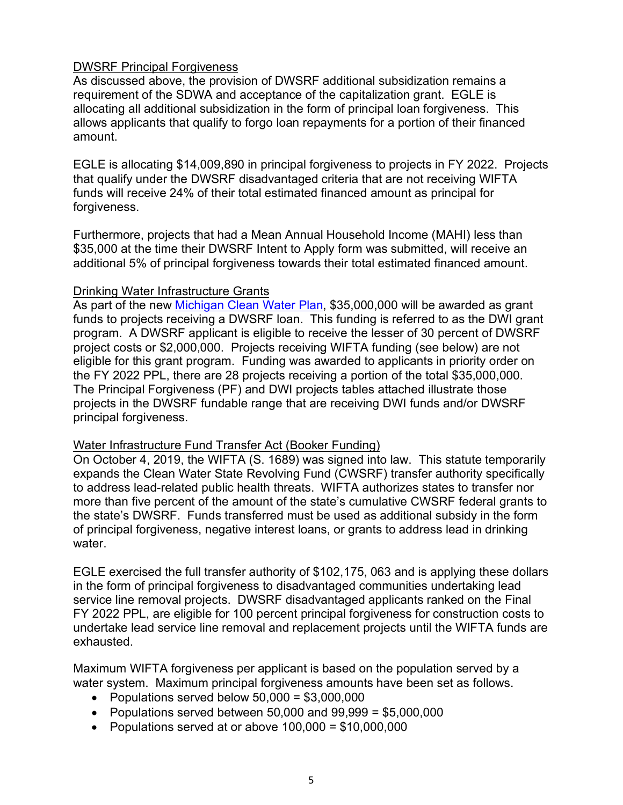#### DWSRF Principal Forgiveness

As discussed above, the provision of DWSRF additional subsidization remains a requirement of the SDWA and acceptance of the capitalization grant. EGLE is allocating all additional subsidization in the form of principal loan forgiveness. This allows applicants that qualify to forgo loan repayments for a portion of their financed amount.

EGLE is allocating \$14,009,890 in principal forgiveness to projects in FY 2022. Projects that qualify under the DWSRF disadvantaged criteria that are not receiving WIFTA funds will receive 24% of their total estimated financed amount as principal for forgiveness.

Furthermore, projects that had a Mean Annual Household Income (MAHI) less than \$35,000 at the time their DWSRF Intent to Apply form was submitted, will receive an additional 5% of principal forgiveness towards their total estimated financed amount.

#### Drinking Water Infrastructure Grants

As part of the new [Michigan Clean Water Plan,](https://www.michigan.gov/egle/0%2C9429%2C7-135-3307_3515_103222---%2C00.html) \$35,000,000 will be awarded as grant funds to projects receiving a DWSRF loan. This funding is referred to as the DWI grant program. A DWSRF applicant is eligible to receive the lesser of 30 percent of DWSRF project costs or \$2,000,000. Projects receiving WIFTA funding (see below) are not eligible for this grant program. Funding was awarded to applicants in priority order on the FY 2022 PPL, there are 28 projects receiving a portion of the total \$35,000,000. The Principal Forgiveness (PF) and DWI projects tables attached illustrate those projects in the DWSRF fundable range that are receiving DWI funds and/or DWSRF principal forgiveness.

#### Water Infrastructure Fund Transfer Act (Booker Funding)

On October 4, 2019, the WIFTA (S. 1689) was signed into law. This statute temporarily expands the Clean Water State Revolving Fund (CWSRF) transfer authority specifically to address lead-related public health threats. WIFTA authorizes states to transfer nor more than five percent of the amount of the state's cumulative CWSRF federal grants to the state's DWSRF. Funds transferred must be used as additional subsidy in the form of principal forgiveness, negative interest loans, or grants to address lead in drinking water.

EGLE exercised the full transfer authority of \$102,175, 063 and is applying these dollars in the form of principal forgiveness to disadvantaged communities undertaking lead service line removal projects. DWSRF disadvantaged applicants ranked on the Final FY 2022 PPL, are eligible for 100 percent principal forgiveness for construction costs to undertake lead service line removal and replacement projects until the WIFTA funds are exhausted.

Maximum WIFTA forgiveness per applicant is based on the population served by a water system. Maximum principal forgiveness amounts have been set as follows.

- Populations served below  $50,000 = $3,000,000$
- Populations served between 50,000 and  $99,999 = $5,000,000$
- Populations served at or above 100,000 = \$10,000,000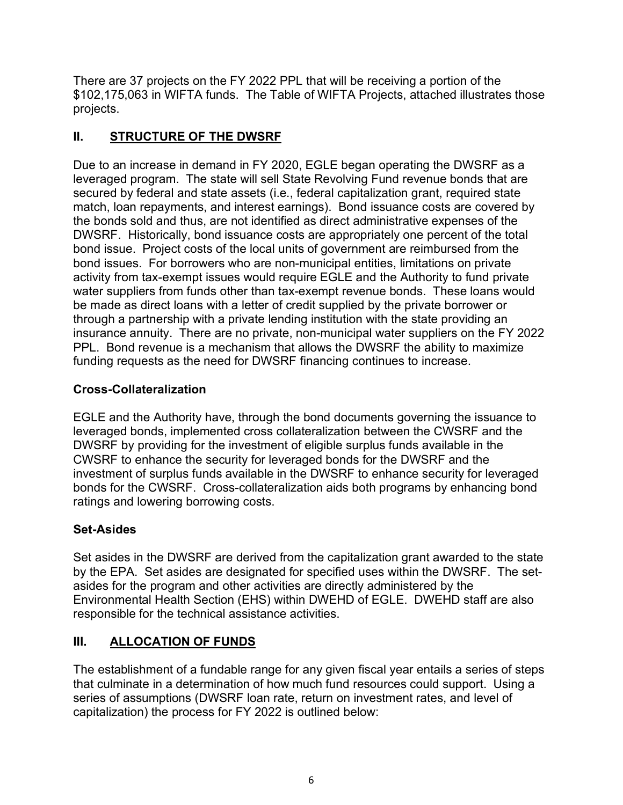There are 37 projects on the FY 2022 PPL that will be receiving a portion of the \$102,175,063 in WIFTA funds. The Table of WIFTA Projects, attached illustrates those projects.

#### **II. STRUCTURE OF THE DWSRF**

Due to an increase in demand in FY 2020, EGLE began operating the DWSRF as a leveraged program. The state will sell State Revolving Fund revenue bonds that are secured by federal and state assets (i.e., federal capitalization grant, required state match, loan repayments, and interest earnings). Bond issuance costs are covered by the bonds sold and thus, are not identified as direct administrative expenses of the DWSRF. Historically, bond issuance costs are appropriately one percent of the total bond issue. Project costs of the local units of government are reimbursed from the bond issues. For borrowers who are non-municipal entities, limitations on private activity from tax-exempt issues would require EGLE and the Authority to fund private water suppliers from funds other than tax-exempt revenue bonds. These loans would be made as direct loans with a letter of credit supplied by the private borrower or through a partnership with a private lending institution with the state providing an insurance annuity. There are no private, non-municipal water suppliers on the FY 2022 PPL. Bond revenue is a mechanism that allows the DWSRF the ability to maximize funding requests as the need for DWSRF financing continues to increase.

#### **Cross-Collateralization**

EGLE and the Authority have, through the bond documents governing the issuance to leveraged bonds, implemented cross collateralization between the CWSRF and the DWSRF by providing for the investment of eligible surplus funds available in the CWSRF to enhance the security for leveraged bonds for the DWSRF and the investment of surplus funds available in the DWSRF to enhance security for leveraged bonds for the CWSRF. Cross-collateralization aids both programs by enhancing bond ratings and lowering borrowing costs.

#### **Set-Asides**

Set asides in the DWSRF are derived from the capitalization grant awarded to the state by the EPA. Set asides are designated for specified uses within the DWSRF. The setasides for the program and other activities are directly administered by the Environmental Health Section (EHS) within DWEHD of EGLE. DWEHD staff are also responsible for the technical assistance activities.

#### **III. ALLOCATION OF FUNDS**

The establishment of a fundable range for any given fiscal year entails a series of steps that culminate in a determination of how much fund resources could support. Using a series of assumptions (DWSRF loan rate, return on investment rates, and level of capitalization) the process for FY 2022 is outlined below: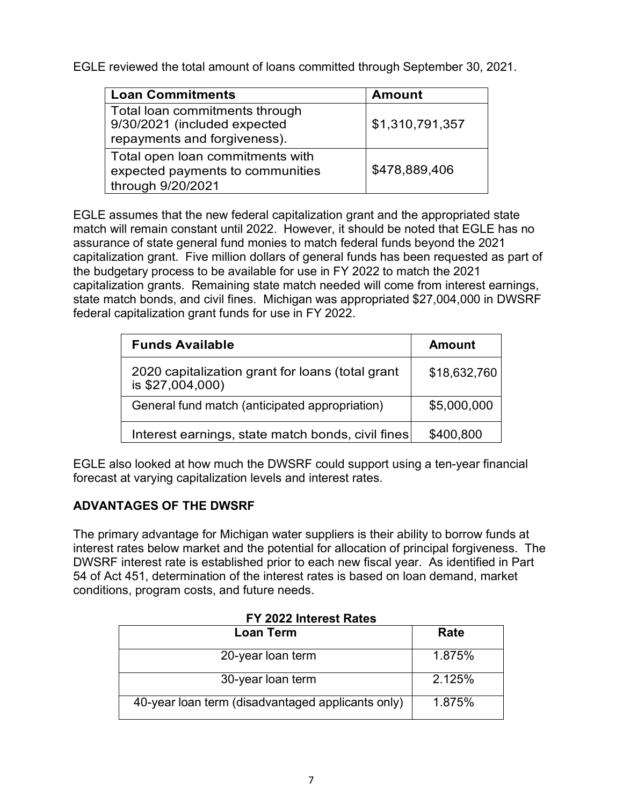EGLE reviewed the total amount of loans committed through September 30, 2021.

| <b>Loan Commitments</b>                                        | <b>Amount</b>   |
|----------------------------------------------------------------|-----------------|
| Total loan commitments through<br>9/30/2021 (included expected | \$1,310,791,357 |
| repayments and forgiveness).                                   |                 |
| Total open loan commitments with                               |                 |
| expected payments to communities                               | \$478,889,406   |
| through 9/20/2021                                              |                 |

EGLE assumes that the new federal capitalization grant and the appropriated state match will remain constant until 2022. However, it should be noted that EGLE has no assurance of state general fund monies to match federal funds beyond the 2021 capitalization grant. Five million dollars of general funds has been requested as part of the budgetary process to be available for use in FY 2022 to match the 2021 capitalization grants. Remaining state match needed will come from interest earnings, state match bonds, and civil fines. Michigan was appropriated \$27,004,000 in DWSRF federal capitalization grant funds for use in FY 2022.

| <b>Funds Available</b>                                               | Amount       |
|----------------------------------------------------------------------|--------------|
| 2020 capitalization grant for loans (total grant<br>is \$27,004,000) | \$18,632,760 |
| General fund match (anticipated appropriation)                       | \$5,000,000  |
| Interest earnings, state match bonds, civil fines                    | \$400,800    |

EGLE also looked at how much the DWSRF could support using a ten-year financial forecast at varying capitalization levels and interest rates.

#### **ADVANTAGES OF THE DWSRF**

The primary advantage for Michigan water suppliers is their ability to borrow funds at interest rates below market and the potential for allocation of principal forgiveness. The DWSRF interest rate is established prior to each new fiscal year. As identified in Part 54 of Act 451, determination of the interest rates is based on loan demand, market conditions, program costs, and future needs.

| <b>Loan Term</b>                                  | Rate   |
|---------------------------------------------------|--------|
| 20-year loan term                                 | 1.875% |
| 30-year loan term                                 | 2.125% |
| 40-year loan term (disadvantaged applicants only) | 1.875% |

#### **FY 2022 Interest Rates**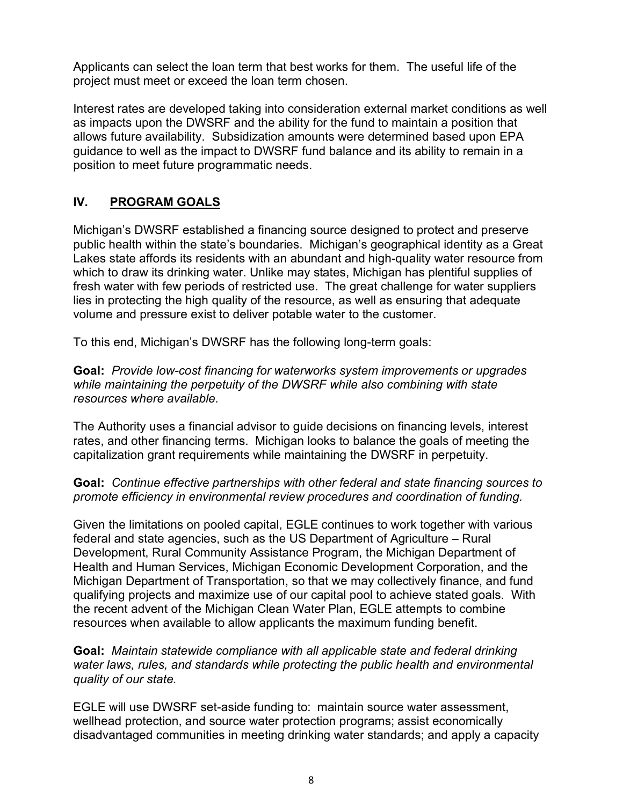Applicants can select the loan term that best works for them. The useful life of the project must meet or exceed the loan term chosen.

Interest rates are developed taking into consideration external market conditions as well as impacts upon the DWSRF and the ability for the fund to maintain a position that allows future availability. Subsidization amounts were determined based upon EPA guidance to well as the impact to DWSRF fund balance and its ability to remain in a position to meet future programmatic needs.

#### **IV. PROGRAM GOALS**

Michigan's DWSRF established a financing source designed to protect and preserve public health within the state's boundaries. Michigan's geographical identity as a Great Lakes state affords its residents with an abundant and high-quality water resource from which to draw its drinking water. Unlike may states, Michigan has plentiful supplies of fresh water with few periods of restricted use. The great challenge for water suppliers lies in protecting the high quality of the resource, as well as ensuring that adequate volume and pressure exist to deliver potable water to the customer.

To this end, Michigan's DWSRF has the following long-term goals:

**Goal:** *Provide low-cost financing for waterworks system improvements or upgrades while maintaining the perpetuity of the DWSRF while also combining with state resources where available.* 

The Authority uses a financial advisor to guide decisions on financing levels, interest rates, and other financing terms. Michigan looks to balance the goals of meeting the capitalization grant requirements while maintaining the DWSRF in perpetuity.

#### **Goal:** *Continue effective partnerships with other federal and state financing sources to promote efficiency in environmental review procedures and coordination of funding.*

Given the limitations on pooled capital, EGLE continues to work together with various federal and state agencies, such as the US Department of Agriculture – Rural Development, Rural Community Assistance Program, the Michigan Department of Health and Human Services, Michigan Economic Development Corporation, and the Michigan Department of Transportation, so that we may collectively finance, and fund qualifying projects and maximize use of our capital pool to achieve stated goals. With the recent advent of the Michigan Clean Water Plan, EGLE attempts to combine resources when available to allow applicants the maximum funding benefit.

#### **Goal:** *Maintain statewide compliance with all applicable state and federal drinking water laws, rules, and standards while protecting the public health and environmental quality of our state.*

EGLE will use DWSRF set-aside funding to: maintain source water assessment, wellhead protection, and source water protection programs; assist economically disadvantaged communities in meeting drinking water standards; and apply a capacity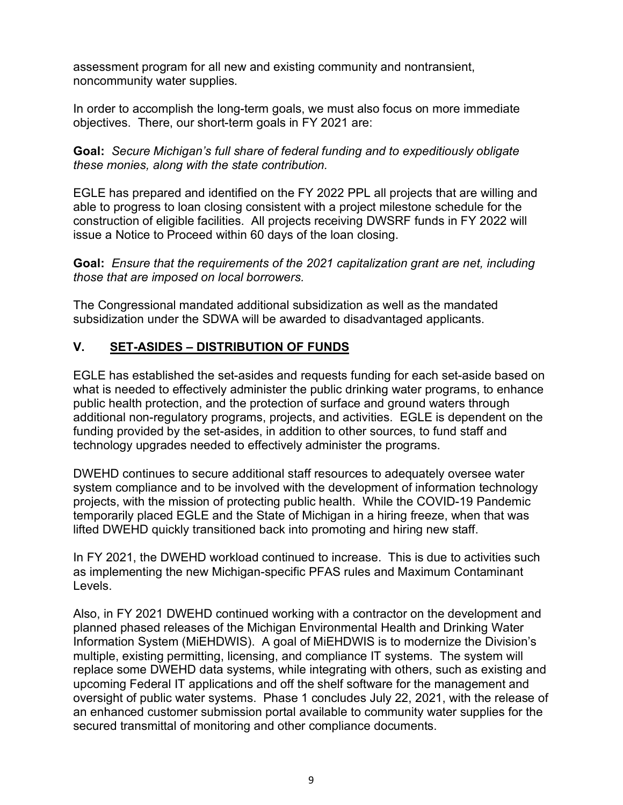assessment program for all new and existing community and nontransient, noncommunity water supplies.

In order to accomplish the long-term goals, we must also focus on more immediate objectives. There, our short-term goals in FY 2021 are:

**Goal:** *Secure Michigan's full share of federal funding and to expeditiously obligate these monies, along with the state contribution.*

EGLE has prepared and identified on the FY 2022 PPL all projects that are willing and able to progress to loan closing consistent with a project milestone schedule for the construction of eligible facilities. All projects receiving DWSRF funds in FY 2022 will issue a Notice to Proceed within 60 days of the loan closing.

**Goal:** *Ensure that the requirements of the 2021 capitalization grant are net, including those that are imposed on local borrowers.*

The Congressional mandated additional subsidization as well as the mandated subsidization under the SDWA will be awarded to disadvantaged applicants.

#### **V. SET-ASIDES – DISTRIBUTION OF FUNDS**

EGLE has established the set-asides and requests funding for each set-aside based on what is needed to effectively administer the public drinking water programs, to enhance public health protection, and the protection of surface and ground waters through additional non-regulatory programs, projects, and activities. EGLE is dependent on the funding provided by the set-asides, in addition to other sources, to fund staff and technology upgrades needed to effectively administer the programs.

DWEHD continues to secure additional staff resources to adequately oversee water system compliance and to be involved with the development of information technology projects, with the mission of protecting public health. While the COVID-19 Pandemic temporarily placed EGLE and the State of Michigan in a hiring freeze, when that was lifted DWEHD quickly transitioned back into promoting and hiring new staff.

In FY 2021, the DWEHD workload continued to increase. This is due to activities such as implementing the new Michigan-specific PFAS rules and Maximum Contaminant Levels.

Also, in FY 2021 DWEHD continued working with a contractor on the development and planned phased releases of the Michigan Environmental Health and Drinking Water Information System (MiEHDWIS). A goal of MiEHDWIS is to modernize the Division's multiple, existing permitting, licensing, and compliance IT systems. The system will replace some DWEHD data systems, while integrating with others, such as existing and upcoming Federal IT applications and off the shelf software for the management and oversight of public water systems. Phase 1 concludes July 22, 2021, with the release of an enhanced customer submission portal available to community water supplies for the secured transmittal of monitoring and other compliance documents.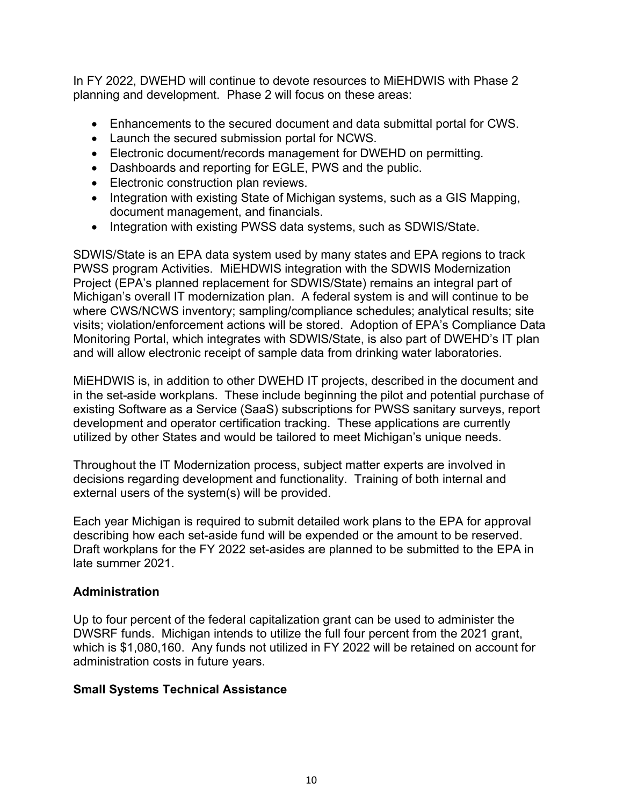In FY 2022, DWEHD will continue to devote resources to MiEHDWIS with Phase 2 planning and development. Phase 2 will focus on these areas:

- Enhancements to the secured document and data submittal portal for CWS.
- Launch the secured submission portal for NCWS.
- Electronic document/records management for DWEHD on permitting.
- Dashboards and reporting for EGLE, PWS and the public.
- Electronic construction plan reviews.
- Integration with existing State of Michigan systems, such as a GIS Mapping, document management, and financials.
- Integration with existing PWSS data systems, such as SDWIS/State.

SDWIS/State is an EPA data system used by many states and EPA regions to track PWSS program Activities. MiEHDWIS integration with the SDWIS Modernization Project (EPA's planned replacement for SDWIS/State) remains an integral part of Michigan's overall IT modernization plan. A federal system is and will continue to be where CWS/NCWS inventory; sampling/compliance schedules; analytical results; site visits; violation/enforcement actions will be stored. Adoption of EPA's Compliance Data Monitoring Portal, which integrates with SDWIS/State, is also part of DWEHD's IT plan and will allow electronic receipt of sample data from drinking water laboratories.

MiEHDWIS is, in addition to other DWEHD IT projects, described in the document and in the set-aside workplans. These include beginning the pilot and potential purchase of existing Software as a Service (SaaS) subscriptions for PWSS sanitary surveys, report development and operator certification tracking. These applications are currently utilized by other States and would be tailored to meet Michigan's unique needs.

Throughout the IT Modernization process, subject matter experts are involved in decisions regarding development and functionality. Training of both internal and external users of the system(s) will be provided.

Each year Michigan is required to submit detailed work plans to the EPA for approval describing how each set-aside fund will be expended or the amount to be reserved. Draft workplans for the FY 2022 set-asides are planned to be submitted to the EPA in late summer 2021.

#### **Administration**

Up to four percent of the federal capitalization grant can be used to administer the DWSRF funds. Michigan intends to utilize the full four percent from the 2021 grant, which is \$1,080,160. Any funds not utilized in FY 2022 will be retained on account for administration costs in future years.

#### **Small Systems Technical Assistance**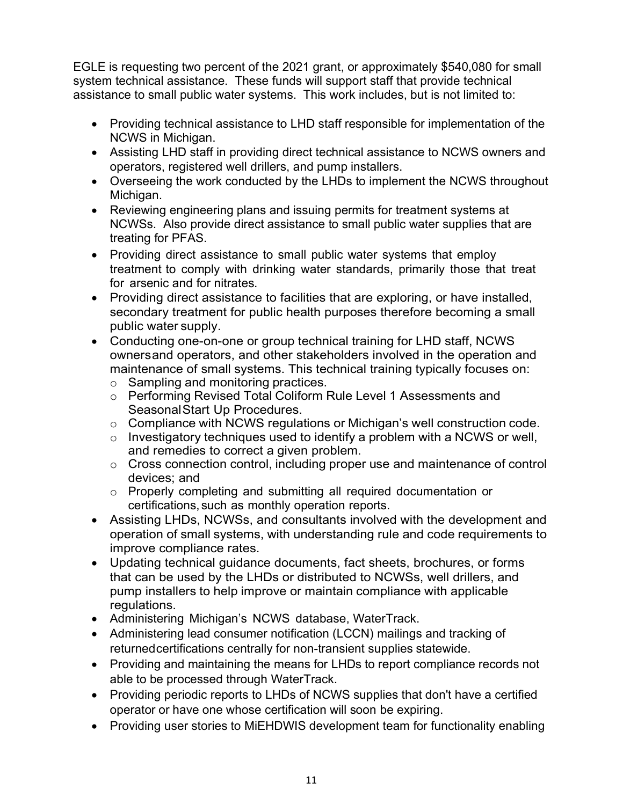EGLE is requesting two percent of the 2021 grant, or approximately \$540,080 for small system technical assistance. These funds will support staff that provide technical assistance to small public water systems. This work includes, but is not limited to:

- Providing technical assistance to LHD staff responsible for implementation of the NCWS in Michigan.
- Assisting LHD staff in providing direct technical assistance to NCWS owners and operators, registered well drillers, and pump installers.
- Overseeing the work conducted by the LHDs to implement the NCWS throughout Michigan.
- Reviewing engineering plans and issuing permits for treatment systems at NCWSs. Also provide direct assistance to small public water supplies that are treating for PFAS.
- Providing direct assistance to small public water systems that employ treatment to comply with drinking water standards, primarily those that treat for arsenic and for nitrates.
- Providing direct assistance to facilities that are exploring, or have installed, secondary treatment for public health purposes therefore becoming a small public water supply.
- Conducting one-on-one or group technical training for LHD staff, NCWS ownersand operators, and other stakeholders involved in the operation and maintenance of small systems. This technical training typically focuses on: o Sampling and monitoring practices.
	- o Performing Revised Total Coliform Rule Level 1 Assessments and SeasonalStart Up Procedures.
	- o Compliance with NCWS regulations or Michigan's well construction code.
	- $\circ$  Investigatory techniques used to identify a problem with a NCWS or well, and remedies to correct a given problem.
	- o Cross connection control, including proper use and maintenance of control devices; and
	- o Properly completing and submitting all required documentation or certifications, such as monthly operation reports.
- Assisting LHDs, NCWSs, and consultants involved with the development and operation of small systems, with understanding rule and code requirements to improve compliance rates.
- Updating technical guidance documents, fact sheets, brochures, or forms that can be used by the LHDs or distributed to NCWSs, well drillers, and pump installers to help improve or maintain compliance with applicable regulations.
- Administering Michigan's NCWS database, WaterTrack.
- Administering lead consumer notification (LCCN) mailings and tracking of returnedcertifications centrally for non-transient supplies statewide.
- Providing and maintaining the means for LHDs to report compliance records not able to be processed through WaterTrack.
- Providing periodic reports to LHDs of NCWS supplies that don't have a certified operator or have one whose certification will soon be expiring.
- Providing user stories to MiEHDWIS development team for functionality enabling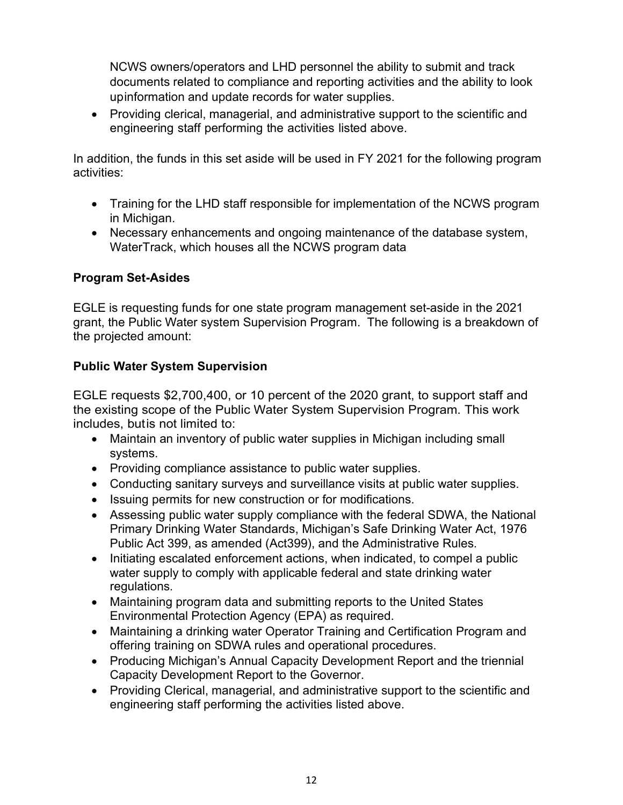NCWS owners/operators and LHD personnel the ability to submit and track documents related to compliance and reporting activities and the ability to look upinformation and update records for water supplies.

• Providing clerical, managerial, and administrative support to the scientific and engineering staff performing the activities listed above.

In addition, the funds in this set aside will be used in FY 2021 for the following program activities:

- Training for the LHD staff responsible for implementation of the NCWS program in Michigan.
- Necessary enhancements and ongoing maintenance of the database system, WaterTrack, which houses all the NCWS program data

#### **Program Set-Asides**

EGLE is requesting funds for one state program management set-aside in the 2021 grant, the Public Water system Supervision Program. The following is a breakdown of the projected amount:

#### **Public Water System Supervision**

EGLE requests \$2,700,400, or 10 percent of the 2020 grant, to support staff and the existing scope of the Public Water System Supervision Program. This work includes, butis not limited to:

- Maintain an inventory of public water supplies in Michigan including small systems.
- Providing compliance assistance to public water supplies.
- Conducting sanitary surveys and surveillance visits at public water supplies.
- Issuing permits for new construction or for modifications.
- Assessing public water supply compliance with the federal SDWA, the National Primary Drinking Water Standards, Michigan's Safe Drinking Water Act, 1976 Public Act 399, as amended (Act399), and the Administrative Rules.
- Initiating escalated enforcement actions, when indicated, to compel a public water supply to comply with applicable federal and state drinking water regulations.
- Maintaining program data and submitting reports to the United States Environmental Protection Agency (EPA) as required.
- Maintaining a drinking water Operator Training and Certification Program and offering training on SDWA rules and operational procedures.
- Producing Michigan's Annual Capacity Development Report and the triennial Capacity Development Report to the Governor.
- Providing Clerical, managerial, and administrative support to the scientific and engineering staff performing the activities listed above.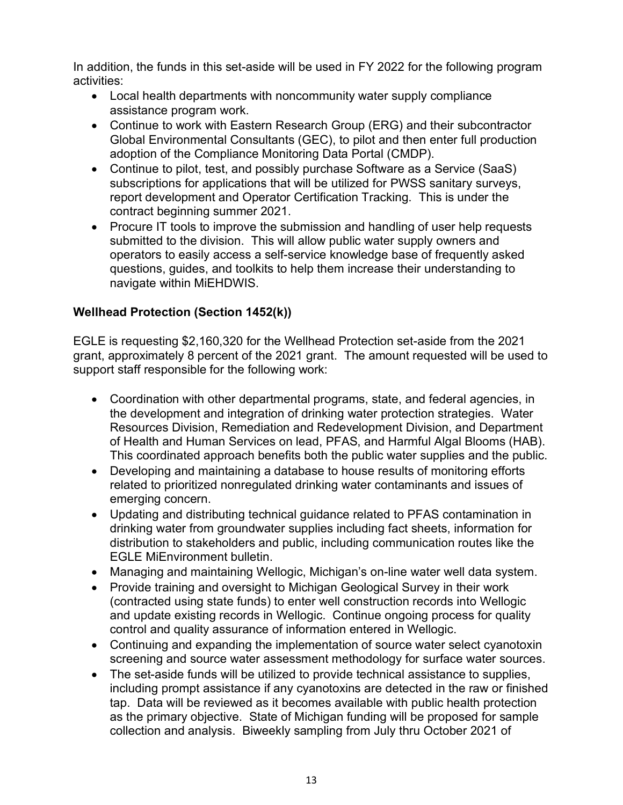In addition, the funds in this set-aside will be used in FY 2022 for the following program activities:

- Local health departments with noncommunity water supply compliance assistance program work.
- Continue to work with Eastern Research Group (ERG) and their subcontractor Global Environmental Consultants (GEC), to pilot and then enter full production adoption of the Compliance Monitoring Data Portal (CMDP).
- Continue to pilot, test, and possibly purchase Software as a Service (SaaS) subscriptions for applications that will be utilized for PWSS sanitary surveys, report development and Operator Certification Tracking. This is under the contract beginning summer 2021.
- Procure IT tools to improve the submission and handling of user help requests submitted to the division. This will allow public water supply owners and operators to easily access a self-service knowledge base of frequently asked questions, guides, and toolkits to help them increase their understanding to navigate within MiEHDWIS.

#### **Wellhead Protection (Section 1452(k))**

EGLE is requesting \$2,160,320 for the Wellhead Protection set-aside from the 2021 grant, approximately 8 percent of the 2021 grant. The amount requested will be used to support staff responsible for the following work:

- Coordination with other departmental programs, state, and federal agencies, in the development and integration of drinking water protection strategies. Water Resources Division, Remediation and Redevelopment Division, and Department of Health and Human Services on lead, PFAS, and Harmful Algal Blooms (HAB). This coordinated approach benefits both the public water supplies and the public.
- Developing and maintaining a database to house results of monitoring efforts related to prioritized nonregulated drinking water contaminants and issues of emerging concern.
- Updating and distributing technical guidance related to PFAS contamination in drinking water from groundwater supplies including fact sheets, information for distribution to stakeholders and public, including communication routes like the EGLE MiEnvironment bulletin.
- Managing and maintaining Wellogic, Michigan's on-line water well data system.
- Provide training and oversight to Michigan Geological Survey in their work (contracted using state funds) to enter well construction records into Wellogic and update existing records in Wellogic. Continue ongoing process for quality control and quality assurance of information entered in Wellogic.
- Continuing and expanding the implementation of source water select cyanotoxin screening and source water assessment methodology for surface water sources.
- The set-aside funds will be utilized to provide technical assistance to supplies, including prompt assistance if any cyanotoxins are detected in the raw or finished tap. Data will be reviewed as it becomes available with public health protection as the primary objective. State of Michigan funding will be proposed for sample collection and analysis. Biweekly sampling from July thru October 2021 of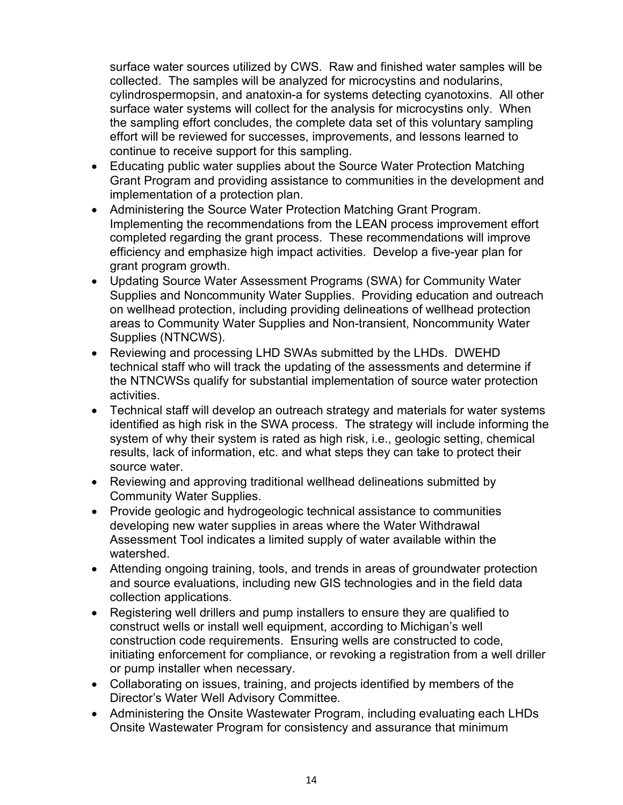surface water sources utilized by CWS. Raw and finished water samples will be collected. The samples will be analyzed for microcystins and nodularins, cylindrospermopsin, and anatoxin-a for systems detecting cyanotoxins. All other surface water systems will collect for the analysis for microcystins only. When the sampling effort concludes, the complete data set of this voluntary sampling effort will be reviewed for successes, improvements, and lessons learned to continue to receive support for this sampling.

- Educating public water supplies about the Source Water Protection Matching Grant Program and providing assistance to communities in the development and implementation of a protection plan.
- Administering the Source Water Protection Matching Grant Program. Implementing the recommendations from the LEAN process improvement effort completed regarding the grant process. These recommendations will improve efficiency and emphasize high impact activities. Develop a five-year plan for grant program growth.
- Updating Source Water Assessment Programs (SWA) for Community Water Supplies and Noncommunity Water Supplies. Providing education and outreach on wellhead protection, including providing delineations of wellhead protection areas to Community Water Supplies and Non-transient, Noncommunity Water Supplies (NTNCWS).
- Reviewing and processing LHD SWAs submitted by the LHDs. DWEHD technical staff who will track the updating of the assessments and determine if the NTNCWSs qualify for substantial implementation of source water protection activities.
- Technical staff will develop an outreach strategy and materials for water systems identified as high risk in the SWA process. The strategy will include informing the system of why their system is rated as high risk, i.e., geologic setting, chemical results, lack of information, etc. and what steps they can take to protect their source water.
- Reviewing and approving traditional wellhead delineations submitted by Community Water Supplies.
- Provide geologic and hydrogeologic technical assistance to communities developing new water supplies in areas where the Water Withdrawal Assessment Tool indicates a limited supply of water available within the watershed.
- Attending ongoing training, tools, and trends in areas of groundwater protection and source evaluations, including new GIS technologies and in the field data collection applications.
- Registering well drillers and pump installers to ensure they are qualified to construct wells or install well equipment, according to Michigan's well construction code requirements. Ensuring wells are constructed to code, initiating enforcement for compliance, or revoking a registration from a well driller or pump installer when necessary.
- Collaborating on issues, training, and projects identified by members of the Director's Water Well Advisory Committee.
- Administering the Onsite Wastewater Program, including evaluating each LHDs Onsite Wastewater Program for consistency and assurance that minimum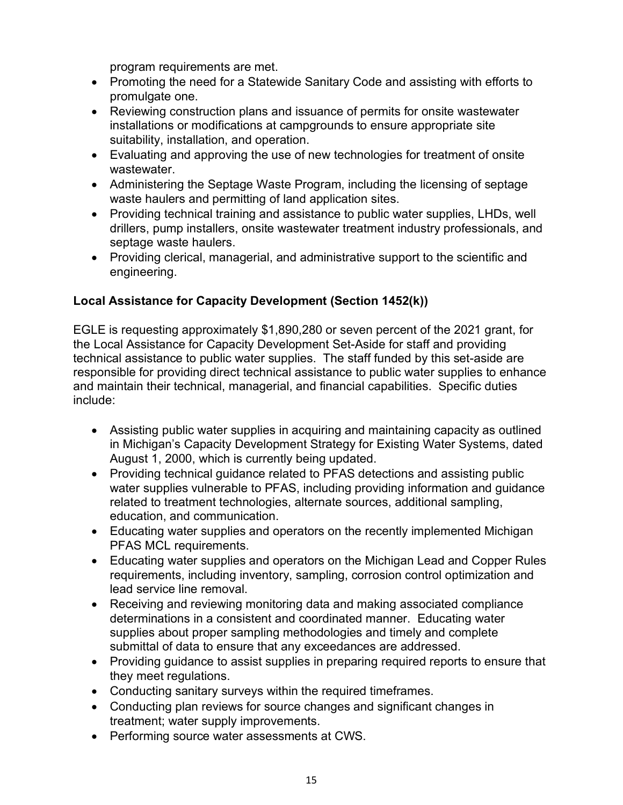program requirements are met.

- Promoting the need for a Statewide Sanitary Code and assisting with efforts to promulgate one.
- Reviewing construction plans and issuance of permits for onsite wastewater installations or modifications at campgrounds to ensure appropriate site suitability, installation, and operation.
- Evaluating and approving the use of new technologies for treatment of onsite wastewater.
- Administering the Septage Waste Program, including the licensing of septage waste haulers and permitting of land application sites.
- Providing technical training and assistance to public water supplies, LHDs, well drillers, pump installers, onsite wastewater treatment industry professionals, and septage waste haulers.
- Providing clerical, managerial, and administrative support to the scientific and engineering.

#### **Local Assistance for Capacity Development (Section 1452(k))**

EGLE is requesting approximately \$1,890,280 or seven percent of the 2021 grant, for the Local Assistance for Capacity Development Set-Aside for staff and providing technical assistance to public water supplies. The staff funded by this set-aside are responsible for providing direct technical assistance to public water supplies to enhance and maintain their technical, managerial, and financial capabilities. Specific duties include:

- Assisting public water supplies in acquiring and maintaining capacity as outlined in Michigan's Capacity Development Strategy for Existing Water Systems, dated August 1, 2000, which is currently being updated.
- Providing technical guidance related to PFAS detections and assisting public water supplies vulnerable to PFAS, including providing information and guidance related to treatment technologies, alternate sources, additional sampling, education, and communication.
- Educating water supplies and operators on the recently implemented Michigan PFAS MCL requirements.
- Educating water supplies and operators on the Michigan Lead and Copper Rules requirements, including inventory, sampling, corrosion control optimization and lead service line removal.
- Receiving and reviewing monitoring data and making associated compliance determinations in a consistent and coordinated manner. Educating water supplies about proper sampling methodologies and timely and complete submittal of data to ensure that any exceedances are addressed.
- Providing guidance to assist supplies in preparing required reports to ensure that they meet regulations.
- Conducting sanitary surveys within the required timeframes.
- Conducting plan reviews for source changes and significant changes in treatment; water supply improvements.
- Performing source water assessments at CWS.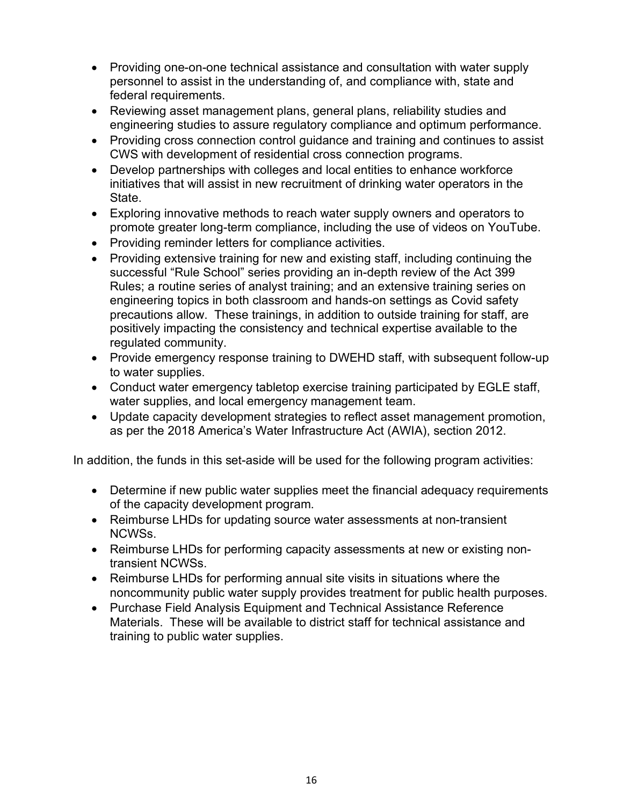- Providing one-on-one technical assistance and consultation with water supply personnel to assist in the understanding of, and compliance with, state and federal requirements.
- Reviewing asset management plans, general plans, reliability studies and engineering studies to assure regulatory compliance and optimum performance.
- Providing cross connection control guidance and training and continues to assist CWS with development of residential cross connection programs.
- Develop partnerships with colleges and local entities to enhance workforce initiatives that will assist in new recruitment of drinking water operators in the State.
- Exploring innovative methods to reach water supply owners and operators to promote greater long-term compliance, including the use of videos on YouTube.
- Providing reminder letters for compliance activities.
- Providing extensive training for new and existing staff, including continuing the successful "Rule School" series providing an in-depth review of the Act 399 Rules; a routine series of analyst training; and an extensive training series on engineering topics in both classroom and hands-on settings as Covid safety precautions allow. These trainings, in addition to outside training for staff, are positively impacting the consistency and technical expertise available to the regulated community.
- Provide emergency response training to DWEHD staff, with subsequent follow-up to water supplies.
- Conduct water emergency tabletop exercise training participated by EGLE staff, water supplies, and local emergency management team.
- Update capacity development strategies to reflect asset management promotion, as per the 2018 America's Water Infrastructure Act (AWIA), section 2012.

In addition, the funds in this set-aside will be used for the following program activities:

- Determine if new public water supplies meet the financial adequacy requirements of the capacity development program.
- Reimburse LHDs for updating source water assessments at non-transient NCWSs.
- Reimburse LHDs for performing capacity assessments at new or existing nontransient NCWSs.
- Reimburse LHDs for performing annual site visits in situations where the noncommunity public water supply provides treatment for public health purposes.
- Purchase Field Analysis Equipment and Technical Assistance Reference Materials. These will be available to district staff for technical assistance and training to public water supplies.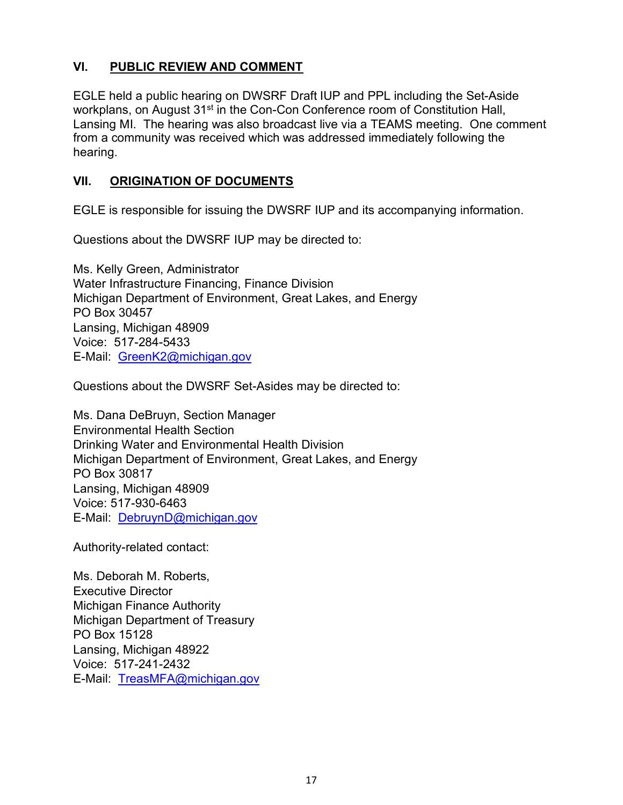#### **VI. PUBLIC REVIEW AND COMMENT**

EGLE held a public hearing on DWSRF Draft IUP and PPL including the Set-Aside workplans, on August 31<sup>st</sup> in the Con-Con Conference room of Constitution Hall, Lansing MI. The hearing was also broadcast live via a TEAMS meeting. One comment from a community was received which was addressed immediately following the hearing.

#### **VII. ORIGINATION OF DOCUMENTS**

EGLE is responsible for issuing the DWSRF IUP and its accompanying information.

Questions about the DWSRF IUP may be directed to:

Ms. Kelly Green, Administrator Water Infrastructure Financing, Finance Division Michigan Department of Environment, Great Lakes, and Energy PO Box 30457 Lansing, Michigan 48909 Voice: 517-284-5433 E-Mail: [GreenK2@michigan.gov](mailto:GreenK2@michigan.gov)

Questions about the DWSRF Set-Asides may be directed to:

Ms. Dana DeBruyn, Section Manager Environmental Health Section Drinking Water and Environmental Health Division Michigan Department of Environment, Great Lakes, and Energy PO Box 30817 Lansing, Michigan 48909 Voice: 517-930-6463 E-Mail: [DebruynD@michigan.gov](mailto:DebruynD@michigan.gov)

Authority-related contact:

Ms. Deborah M. Roberts, Executive Director Michigan Finance Authority Michigan Department of Treasury PO Box 15128 Lansing, Michigan 48922 Voice: 517-241-2432 E-Mail: [TreasMFA@michigan.gov](mailto:TreasMFA@michigan.gov)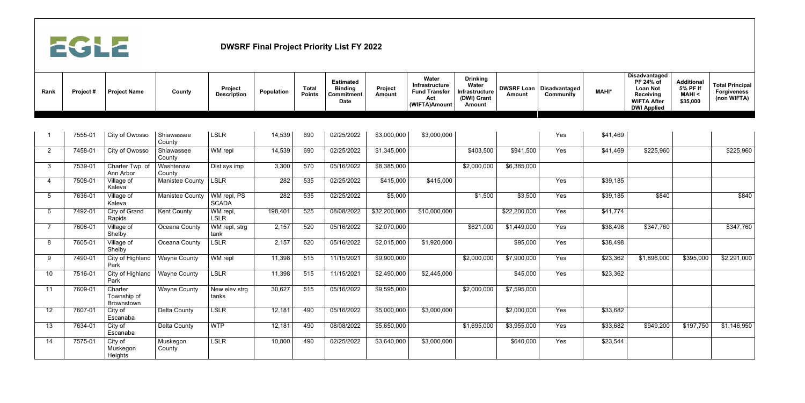

| Rank | Project# | <b>Project Name</b>                  | County                 | Project<br><b>Description</b> | Population | <b>Total</b><br><b>Points</b> | <b>Estimated</b><br><b>Binding</b><br>Commitment<br><b>Date</b> | Project<br><b>Amount</b> | Water<br>Infrastructure<br><b>Fund Transfer</b><br>Act<br>(WIFTA)Amount | <b>Drinking</b><br><b>Water</b><br>Infrastructure<br>(DWI) Grant<br><b>Amount</b> | <b>DWSRF Loan</b><br><b>Amount</b> | <b>Disadvantaged</b><br><b>Community</b> | <b>MAHI*</b> | <b>Disadvantaged</b><br>PF 24% of<br><b>Loan Not</b><br><b>Receiving</b><br><b>WIFTA After</b><br><b>DWI Applied</b> | <b>Additional</b><br>5% PF If<br><b>MAHI &lt;</b><br>\$35,000 | <b>Total Principal</b><br><b>Forgiveness</b><br>(non WIFTA) |
|------|----------|--------------------------------------|------------------------|-------------------------------|------------|-------------------------------|-----------------------------------------------------------------|--------------------------|-------------------------------------------------------------------------|-----------------------------------------------------------------------------------|------------------------------------|------------------------------------------|--------------|----------------------------------------------------------------------------------------------------------------------|---------------------------------------------------------------|-------------------------------------------------------------|
|      |          |                                      |                        |                               |            |                               |                                                                 |                          |                                                                         |                                                                                   |                                    |                                          |              |                                                                                                                      |                                                               |                                                             |
|      | 7555-01  | City of Owosso                       | Shiawassee<br>County   | <b>LSLR</b>                   | 14,539     | 690                           | 02/25/2022                                                      | \$3,000,000              | \$3,000,000                                                             |                                                                                   |                                    | Yes                                      | \$41,469     |                                                                                                                      |                                                               |                                                             |
| 2    | 7458-01  | City of Owosso                       | Shiawassee<br>County   | WM repl                       | 14,539     | 690                           | 02/25/2022                                                      | \$1,345,000              |                                                                         | \$403,500                                                                         | \$941,500                          | Yes                                      | \$41,469     | \$225,960                                                                                                            |                                                               | \$225,960                                                   |
| 3    | 7539-01  | Charter Twp. of<br>Ann Arbor         | Washtenaw<br>County    | Dist sys imp                  | 3,300      | 570                           | 05/16/2022                                                      | \$8,385,000              |                                                                         | \$2,000,000                                                                       | \$6,385,000                        |                                          |              |                                                                                                                      |                                                               |                                                             |
|      | 7508-01  | Village of<br>Kaleva                 | <b>Manistee County</b> | <b>LSLR</b>                   | 282        | 535                           | 02/25/2022                                                      | \$415,000                | \$415,000                                                               |                                                                                   |                                    | Yes                                      | \$39,185     |                                                                                                                      |                                                               |                                                             |
| 5    | 7636-01  | Village of<br>Kaleva                 | <b>Manistee County</b> | WM repl, PS<br><b>SCADA</b>   | 282        | 535                           | 02/25/2022                                                      | \$5,000                  |                                                                         | \$1,500                                                                           | \$3,500                            | Yes                                      | \$39,185     | \$840                                                                                                                |                                                               | \$840                                                       |
| 6    | 7492-01  | City of Grand<br>Rapids              | <b>Kent County</b>     | WM repl,<br><b>LSLR</b>       | 198,401    | 525                           | 08/08/2022                                                      | \$32,200,000             | \$10,000,000                                                            |                                                                                   | \$22,200,000                       | Yes                                      | \$41,774     |                                                                                                                      |                                                               |                                                             |
|      | 7606-01  | Village of<br>Shelby                 | Oceana County          | WM repl, strg<br>tank         | 2,157      | 520                           | 05/16/2022                                                      | \$2,070,000              |                                                                         | \$621,000                                                                         | \$1,449,000                        | Yes                                      | \$38,498     | \$347,760                                                                                                            |                                                               | \$347,760                                                   |
| 8    | 7605-01  | Village of<br>Shelby                 | Oceana County          | <b>LSLR</b>                   | 2,157      | 520                           | 05/16/2022                                                      | \$2,015,000              | \$1,920,000                                                             |                                                                                   | \$95,000                           | Yes                                      | \$38,498     |                                                                                                                      |                                                               |                                                             |
| 9    | 7490-01  | City of Highland<br>Park             | <b>Wayne County</b>    | WM repl                       | 11,398     | 515                           | 11/15/2021                                                      | \$9,900,000              |                                                                         | \$2,000,000                                                                       | \$7,900,000                        | Yes                                      | \$23,362     | \$1,896,000                                                                                                          | \$395,000                                                     | \$2,291,000                                                 |
| 10   | 7516-01  | City of Highland<br>Park             | <b>Wayne County</b>    | <b>LSLR</b>                   | 11,398     | 515                           | 11/15/2021                                                      | \$2,490,000              | \$2,445,000                                                             |                                                                                   | \$45,000                           | Yes                                      | \$23,362     |                                                                                                                      |                                                               |                                                             |
| 11   | 7609-01  | Charter<br>Township of<br>Brownstown | <b>Wayne County</b>    | New elev strg<br>tanks        | 30,627     | 515                           | 05/16/2022                                                      | \$9,595,000              |                                                                         | \$2,000,000                                                                       | \$7,595,000                        |                                          |              |                                                                                                                      |                                                               |                                                             |
| 12   | 7607-01  | City of<br>Escanaba                  | <b>Delta County</b>    | <b>LSLR</b>                   | 12,181     | 490                           | 05/16/2022                                                      | \$5,000,000              | \$3,000,000                                                             |                                                                                   | \$2,000,000                        | Yes                                      | \$33,682     |                                                                                                                      |                                                               |                                                             |
| 13   | 7634-01  | City of<br>Escanaba                  | <b>Delta County</b>    | <b>WTP</b>                    | 12,181     | 490                           | 08/08/2022                                                      | \$5,650,000              |                                                                         | \$1,695,000                                                                       | \$3,955,000                        | Yes                                      | \$33,682     | \$949,200                                                                                                            | \$197,750                                                     | \$1,146,950                                                 |
| 14   | 7575-01  | City of<br>Muskegon<br>Heights       | Muskegon<br>County     | <b>LSLR</b>                   | 10,800     | 490                           | 02/25/2022                                                      | \$3,640,000              | \$3,000,000                                                             |                                                                                   | \$640,000                          | Yes                                      | \$23,544     |                                                                                                                      |                                                               |                                                             |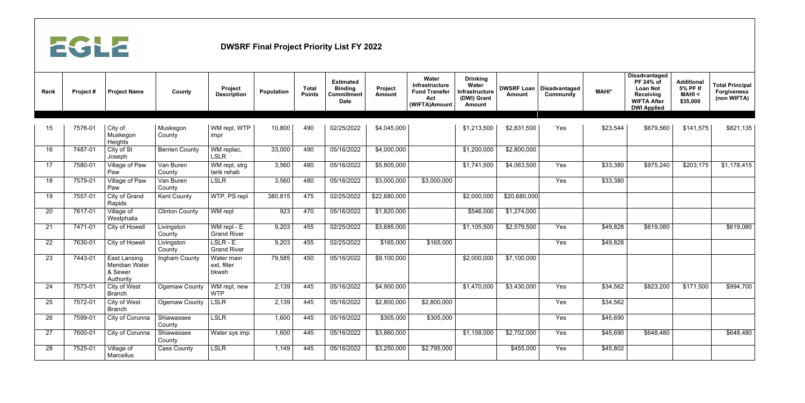

| Rank            | Project# | <b>Project Name</b>                                           | County                       | Project<br><b>Description</b>      | <b>Population</b> | <b>Total</b><br><b>Points</b> | <b>Estimated</b><br><b>Binding</b><br><b>Commitment</b><br><b>Date</b> | Project<br><b>Amount</b> | Water<br>Infrastructure<br><b>Fund Transfer</b><br>Act<br>(WIFTA)Amount | <b>Drinking</b><br>Water<br>Infrastructure<br>(DWI) Grant<br><b>Amount</b> | <b>DWSRF Loan</b><br><b>Amount</b> | <b>Disadvantaged</b><br><b>Community</b> | <b>MAHI*</b> | <b>Disadvantaged</b><br>PF 24% of<br><b>Loan Not</b><br><b>Receiving</b><br><b>WIFTA After</b><br><b>DWI Applied</b> | <b>Additional</b><br>5% PF If<br><b>MAHI &lt;</b><br>\$35,000 | <b>Total Principal</b><br><b>Forgiveness</b><br>(non WIFTA) |
|-----------------|----------|---------------------------------------------------------------|------------------------------|------------------------------------|-------------------|-------------------------------|------------------------------------------------------------------------|--------------------------|-------------------------------------------------------------------------|----------------------------------------------------------------------------|------------------------------------|------------------------------------------|--------------|----------------------------------------------------------------------------------------------------------------------|---------------------------------------------------------------|-------------------------------------------------------------|
| 15              | 7576-01  | City of<br>Muskegon<br>Heights                                | Muskegon<br>County           | WM repl, WTP<br>impr               | 10,800            | 490                           | 02/25/2022                                                             | \$4,045,000              |                                                                         | \$1,213,500                                                                | \$2,831,500                        | Yes                                      | \$23,544     | \$679,560                                                                                                            | \$141,575                                                     | \$821,135                                                   |
| 16 <sup>°</sup> | 7487-01  | City of St<br>Joseph                                          | <b>Berrien County</b>        | WM replac,<br><b>LSLR</b>          | 33,000            | 490                           | 05/16/2022                                                             | \$4,000,000              |                                                                         | \$1,200,000                                                                | \$2,800,000                        |                                          |              |                                                                                                                      |                                                               |                                                             |
| 17              | 7580-01  | Village of Paw<br>Paw                                         | Van Buren<br>County          | WM repl, strg<br>tank rehab        | 3,560             | 480                           | 05/16/2022                                                             | \$5,805,000              |                                                                         | \$1,741,500                                                                | \$4,063,500                        | Yes                                      | \$33,380     | \$975,240                                                                                                            | \$203,175                                                     | \$1,178,415                                                 |
| 18              | 7579-01  | Village of Paw<br>Paw                                         | Van Buren<br>County          | <b>LSLR</b>                        | 3,560             | 480                           | 05/16/2022                                                             | \$3,000,000              | \$3,000,000                                                             |                                                                            |                                    | Yes                                      | \$33,380     |                                                                                                                      |                                                               |                                                             |
| 19              | 7557-01  | City of Grand<br>Rapids                                       | <b>Kent County</b>           | WTP, PS repl                       | 380,815           | 475                           | 02/25/2022                                                             | \$22,680,000             |                                                                         | \$2,000,000                                                                | \$20,680,000                       |                                          |              |                                                                                                                      |                                                               |                                                             |
| 20              | 7617-01  | Village of<br>Westphalia                                      | <b>Clinton County</b>        | WM repl                            | 923               | 470                           | 05/16/2022                                                             | \$1,820,000              |                                                                         | \$546,000                                                                  | \$1,274,000                        |                                          |              |                                                                                                                      |                                                               |                                                             |
| 21              | 7471-01  | City of Howell                                                | Livingston<br>County         | WM repl - E.<br><b>Grand River</b> | 9,203             | 455                           | 02/25/2022                                                             | \$3,685,000              |                                                                         | \$1,105,500                                                                | \$2,579,500                        | Yes                                      | \$49,828     | \$619,080                                                                                                            |                                                               | \$619,080                                                   |
| 22              | 7630-01  | City of Howell                                                | Livingston<br>County         | LSLR - E.<br><b>Grand River</b>    | 9,203             | 455                           | 02/25/2022                                                             | \$165,000                | \$165,000                                                               |                                                                            |                                    | Yes                                      | \$49,828     |                                                                                                                      |                                                               |                                                             |
| 23              | 7443-01  | East Lansing<br><b>Meridian Water</b><br>& Sewer<br>Authority | Ingham County                | Water main<br>ext, filter<br>bkwsh | 79,585            | 450                           | 05/16/2022                                                             | \$9,100,000              |                                                                         | \$2,000,000                                                                | \$7,100,000                        |                                          |              |                                                                                                                      |                                                               |                                                             |
| 24              | 7573-01  | City of West<br><b>Branch</b>                                 | Ogemaw County   WM repl, new | <b>WTP</b>                         | 2,139             | 445                           | 05/16/2022                                                             | \$4,900,000              |                                                                         | \$1,470,000                                                                | \$3,430,000                        | Yes                                      | \$34,562     | \$823,200                                                                                                            | \$171,500                                                     | \$994,700                                                   |
| 25              | 7572-01  | City of West<br><b>Branch</b>                                 | Ogemaw County                | <b>LSLR</b>                        | 2,139             | 445                           | 05/16/2022                                                             | \$2,800,000              | \$2,800,000                                                             |                                                                            |                                    | Yes                                      | \$34,562     |                                                                                                                      |                                                               |                                                             |
| 26              | 7599-01  | City of Corunna                                               | Shiawassee<br>County         | <b>LSLR</b>                        | 1,600             | 445                           | 05/16/2022                                                             | \$305,000                | \$305,000                                                               |                                                                            |                                    | Yes                                      | \$45,690     |                                                                                                                      |                                                               |                                                             |
| 27              | 7600-01  | City of Corunna                                               | Shiawassee<br>County         | Water sys imp                      | 1,600             | 445                           | 05/16/2022                                                             | \$3,860,000              |                                                                         | \$1,158,000                                                                | \$2,702,000                        | Yes                                      | \$45,690     | \$648,480                                                                                                            |                                                               | \$648,480                                                   |
| 28              | 7525-01  | Village of<br>Marcellus                                       | <b>Cass County</b>           | LSLR                               | 1,149             | 445                           | 05/16/2022                                                             | \$3,250,000              | \$2,795,000                                                             |                                                                            | \$455,000                          | Yes                                      | \$45,802     |                                                                                                                      |                                                               |                                                             |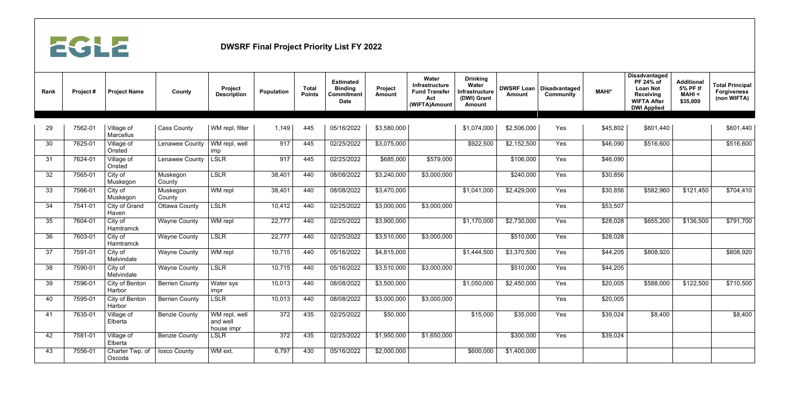

| Rank | Project# | <b>Project Name</b>            | <b>County</b>         | Project<br><b>Description</b>           | <b>Population</b> | <b>Total</b><br><b>Points</b> | <b>Estimated</b><br><b>Binding</b><br>Commitment<br><b>Date</b> | Project<br><b>Amount</b> | <b>Water</b><br>Infrastructure<br><b>Fund Transfer</b><br>Act<br>(WIFTA)Amount | <b>Drinking</b><br>Water<br>Infrastructure<br>(DWI) Grant<br><b>Amount</b> | <b>DWSRF Loan</b><br><b>Amount</b> | Disadvantaged<br><b>Community</b> | <b>MAHI*</b>     | <b>Disadvantaged</b><br>PF 24% of<br><b>Loan Not</b><br><b>Receiving</b><br><b>WIFTA After</b><br><b>DWI Applied</b> | <b>Additional</b><br>5% PF If<br><b>MAHI &lt;</b><br>\$35,000 | <b>Total Principal</b><br><b>Forgiveness</b><br>(non WIFTA) |
|------|----------|--------------------------------|-----------------------|-----------------------------------------|-------------------|-------------------------------|-----------------------------------------------------------------|--------------------------|--------------------------------------------------------------------------------|----------------------------------------------------------------------------|------------------------------------|-----------------------------------|------------------|----------------------------------------------------------------------------------------------------------------------|---------------------------------------------------------------|-------------------------------------------------------------|
|      |          |                                |                       |                                         |                   |                               |                                                                 |                          |                                                                                |                                                                            |                                    |                                   |                  |                                                                                                                      |                                                               |                                                             |
| 29   | 7562-01  | Village of<br><b>Marcellus</b> | <b>Cass County</b>    | WM repl, filter                         | 1,149             | 445                           | 05/16/2022                                                      | \$3,580,000              |                                                                                | \$1,074,000                                                                | \$2,506,000                        | Yes                               | \$45,802         | \$601,440                                                                                                            |                                                               | \$601,440                                                   |
| 30   | 7625-01  | Village of<br>Onsted           | Lenawee County        | WM repl, well<br>imp                    | 917               | 445                           | 02/25/2022                                                      | \$3,075,000              |                                                                                | \$922,500                                                                  | \$2,152,500                        | Yes                               | \$46,090         | \$516,600                                                                                                            |                                                               | \$516,600                                                   |
| 31   | 7624-01  | Village of<br>Onsted           | Lenawee County        | <b>LSLR</b>                             | 917               | 445                           | 02/25/2022                                                      | \$685,000                | \$579,000                                                                      |                                                                            | \$106,000                          | Yes                               | \$46,090         |                                                                                                                      |                                                               |                                                             |
| 32   | 7565-01  | City of<br>Muskegon            | Muskegon<br>County    | <b>LSLR</b>                             | 38,401            | 440                           | 08/08/2022                                                      | \$3,240,000              | \$3,000,000                                                                    |                                                                            | \$240,000                          | Yes                               | \$30,856         |                                                                                                                      |                                                               |                                                             |
| 33   | 7566-01  | City of<br>Muskegon            | Muskegon<br>County    | WM repl                                 | 38,401            | 440                           | 08/08/2022                                                      | \$3,470,000              |                                                                                | \$1,041,000                                                                | \$2,429,000                        | Yes                               | \$30,856         | \$582,960                                                                                                            | \$121,450                                                     | \$704,410                                                   |
| 34   | 7541-01  | City of Grand<br>Haven         | <b>Ottawa County</b>  | <b>LSLR</b>                             | 10,412            | 440                           | 02/25/2022                                                      | \$3,000,000              | \$3,000,000                                                                    |                                                                            |                                    | Yes                               | \$53,507         |                                                                                                                      |                                                               |                                                             |
| 35   | 7604-01  | City of<br>Hamtramck           | <b>Wayne County</b>   | WM repl                                 | 22,777            | 440                           | 02/25/2022                                                      | \$3,900,000              |                                                                                | \$1,170,000                                                                | \$2,730,000                        | Yes                               | \$28,028         | \$655,200                                                                                                            | \$136,500                                                     | \$791,700                                                   |
| 36   | 7603-01  | City of<br>Hamtramck           | <b>Wayne County</b>   | <b>LSLR</b>                             | 22,777            | 440                           | 02/25/2022                                                      | \$3,510,000              | \$3,000,000                                                                    |                                                                            | \$510,000                          | Yes                               | \$28,028         |                                                                                                                      |                                                               |                                                             |
| 37   | 7591-01  | City of<br>Melvindale          | <b>Wayne County</b>   | WM repl                                 | 10,715            | 440                           | 05/16/2022                                                      | \$4,815,000              |                                                                                | \$1,444,500                                                                | \$3,370,500                        | Yes                               | \$44,205         | \$808,920                                                                                                            |                                                               | \$808,920                                                   |
| 38   | 7590-01  | City of<br>Melvindale          | <b>Wayne County</b>   | <b>LSLR</b>                             | 10,715            | 440                           | 05/16/2022                                                      | \$3,510,000              | \$3,000,000                                                                    |                                                                            | \$510,000                          | Yes                               | \$44,205         |                                                                                                                      |                                                               |                                                             |
| 39   | 7596-01  | City of Benton<br>Harbor       | <b>Berrien County</b> | Water sys<br>ımpr                       | 10,013            | 440                           | 08/08/2022                                                      | \$3,500,000              |                                                                                | \$1,050,000                                                                | \$2,450,000                        | Yes                               | \$20,005         | \$588,000                                                                                                            | \$122,500                                                     | \$710,500                                                   |
| 40   | 7595-01  | City of Benton<br>Harbor       | <b>Berrien County</b> | <b>LSLR</b>                             | 10,013            | 440                           | 08/08/2022                                                      | \$3,000,000              | \$3,000,000                                                                    |                                                                            |                                    | Yes                               | $\sqrt{$20,005}$ |                                                                                                                      |                                                               |                                                             |
| 41   | 7635-01  | Village of<br>Elberta          | <b>Benzie County</b>  | WM repl, well<br>and well<br>house impr | 372               | 435                           | 02/25/2022                                                      | \$50,000                 |                                                                                | \$15,000                                                                   | \$35,000                           | Yes                               | \$39,024         | \$8,400                                                                                                              |                                                               | \$8,400                                                     |
| 42   | 7581-01  | Village of<br>Elberta          | <b>Benzie County</b>  | <b>LSLR</b>                             | 372               | 435                           | 02/25/2022                                                      | \$1,950,000              | \$1,650,000                                                                    |                                                                            | \$300,000                          | Yes                               | \$39,024         |                                                                                                                      |                                                               |                                                             |
| 43   | 7556-01  | Charter Twp. of<br>Oscoda      | losco County          | WM ext.                                 | 6,797             | 430                           | 05/16/2022                                                      | \$2,000,000              |                                                                                | \$600,000                                                                  | \$1,400,000                        |                                   |                  |                                                                                                                      |                                                               |                                                             |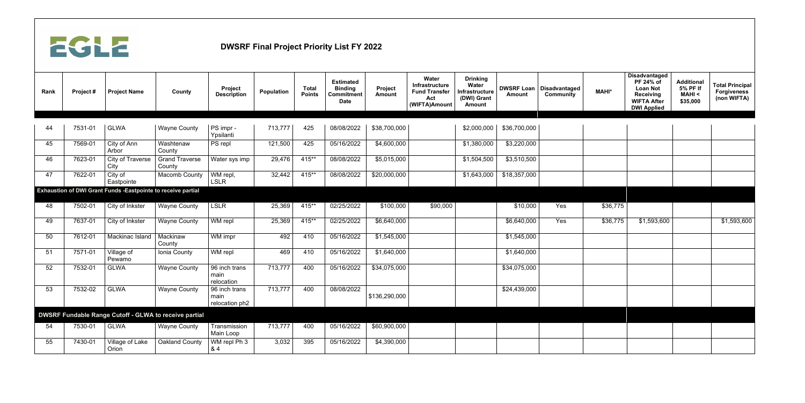

| Rank | Project# | <b>Project Name</b>                                                 | <b>County</b>                                         | Project<br><b>Description</b>           | Population | <b>Total</b><br><b>Points</b> | <b>Estimated</b><br><b>Binding</b><br>Commitment<br><b>Date</b> | Project<br><b>Amount</b> | Water<br>Infrastructure<br><b>Fund Transfer</b><br>Act<br>(WIFTA)Amount | <b>Drinking</b><br>Water<br>Infrastructure<br>(DWI) Grant<br><b>Amount</b> | <b>Amount</b> | <b>DWSRF Loan   Disadvantaged</b><br><b>Community</b> | <b>MAHI*</b> | <b>Disadvantaged</b><br>PF 24% of<br><b>Loan Not</b><br><b>Receiving</b><br><b>WIFTA After</b><br><b>DWI Applied</b> | <b>Additional</b><br>5% PF If<br><b>MAHI &lt;</b><br>\$35,000 | <b>Total Principal</b><br><b>Forgiveness</b><br>(non WIFTA) |
|------|----------|---------------------------------------------------------------------|-------------------------------------------------------|-----------------------------------------|------------|-------------------------------|-----------------------------------------------------------------|--------------------------|-------------------------------------------------------------------------|----------------------------------------------------------------------------|---------------|-------------------------------------------------------|--------------|----------------------------------------------------------------------------------------------------------------------|---------------------------------------------------------------|-------------------------------------------------------------|
|      |          |                                                                     |                                                       |                                         |            |                               |                                                                 |                          |                                                                         |                                                                            |               |                                                       |              |                                                                                                                      |                                                               |                                                             |
| 44   | 7531-01  | <b>GLWA</b>                                                         | <b>Wayne County</b>                                   | PS impr -<br>Ypsilanti                  | 713,777    | 425                           | 08/08/2022                                                      | \$38,700,000             |                                                                         | \$2,000,000                                                                | \$36,700,000  |                                                       |              |                                                                                                                      |                                                               |                                                             |
| 45   | 7569-01  | City of Ann<br>Arbor                                                | Washtenaw<br>County                                   | PS repl                                 | 121,500    | 425                           | 05/16/2022                                                      | \$4,600,000              |                                                                         | \$1,380,000                                                                | \$3,220,000   |                                                       |              |                                                                                                                      |                                                               |                                                             |
| 46   | 7623-01  | <b>City of Traverse</b><br>City                                     | <b>Grand Traverse</b><br>County                       | Water sys imp                           | 29,476     | $415**$                       | 08/08/2022                                                      | \$5,015,000              |                                                                         | \$1,504,500                                                                | \$3,510,500   |                                                       |              |                                                                                                                      |                                                               |                                                             |
| 47   | 7622-01  | City of<br>Eastpointe                                               | <b>Macomb County</b>                                  | WM repl,<br><b>LSLR</b>                 | 32,442     | $415**$                       | 08/08/2022                                                      | \$20,000,000             |                                                                         | \$1,643,000                                                                | \$18,357,000  |                                                       |              |                                                                                                                      |                                                               |                                                             |
|      |          | <b>Exhaustion of DWI Grant Funds -Eastpointe to receive partial</b> |                                                       |                                         |            |                               |                                                                 |                          |                                                                         |                                                                            |               |                                                       |              |                                                                                                                      |                                                               |                                                             |
| 48   | 7502-01  | City of Inkster                                                     | <b>Wayne County</b>                                   | <b>LSLR</b>                             | 25,369     | $415**$                       | 02/25/2022                                                      | \$100,000                | \$90,000                                                                |                                                                            | \$10,000      | Yes                                                   | \$36,775     |                                                                                                                      |                                                               |                                                             |
| 49   | 7637-01  | City of Inkster                                                     | <b>Wayne County</b>                                   | WM repl                                 | 25,369     | $415**$                       | 02/25/2022                                                      | \$6,640,000              |                                                                         |                                                                            | \$6,640,000   | Yes                                                   | \$36,775     | \$1,593,600                                                                                                          |                                                               | \$1,593,600                                                 |
| 50   | 7612-01  | Mackinac Island                                                     | Mackinaw<br>County                                    | WM impr                                 | 492        | 410                           | 05/16/2022                                                      | \$1,545,000              |                                                                         |                                                                            | \$1,545,000   |                                                       |              |                                                                                                                      |                                                               |                                                             |
| 51   | 7571-01  | Village of<br>Pewamo                                                | Ionia County                                          | WM repl                                 | 469        | 410                           | 05/16/2022                                                      | \$1,640,000              |                                                                         |                                                                            | \$1,640,000   |                                                       |              |                                                                                                                      |                                                               |                                                             |
| 52   | 7532-01  | <b>GLWA</b>                                                         | <b>Wayne County</b>                                   | 96 inch trans<br>main<br>relocation     | 713,777    | 400                           | 05/16/2022                                                      | \$34,075,000             |                                                                         |                                                                            | \$34,075,000  |                                                       |              |                                                                                                                      |                                                               |                                                             |
| 53   | 7532-02  | <b>GLWA</b>                                                         | <b>Wayne County</b>                                   | 96 inch trans<br>main<br>relocation ph2 | 713,777    | 400                           | 08/08/2022                                                      | \$136,290,000            |                                                                         |                                                                            | \$24,439,000  |                                                       |              |                                                                                                                      |                                                               |                                                             |
|      |          |                                                                     | DWSRF Fundable Range Cutoff - GLWA to receive partial |                                         |            |                               |                                                                 |                          |                                                                         |                                                                            |               |                                                       |              |                                                                                                                      |                                                               |                                                             |
| 54   | 7530-01  | <b>GLWA</b>                                                         | <b>Wayne County</b>                                   | Transmission<br>Main Loop               | 713,777    | 400                           | 05/16/2022                                                      | \$60,900,000             |                                                                         |                                                                            |               |                                                       |              |                                                                                                                      |                                                               |                                                             |
| 55   | 7430-01  | Village of Lake<br>Orion                                            | <b>Oakland County</b>                                 | WM repl Ph 3<br>&4                      | 3,032      | 395                           | 05/16/2022                                                      | \$4,390,000              |                                                                         |                                                                            |               |                                                       |              |                                                                                                                      |                                                               |                                                             |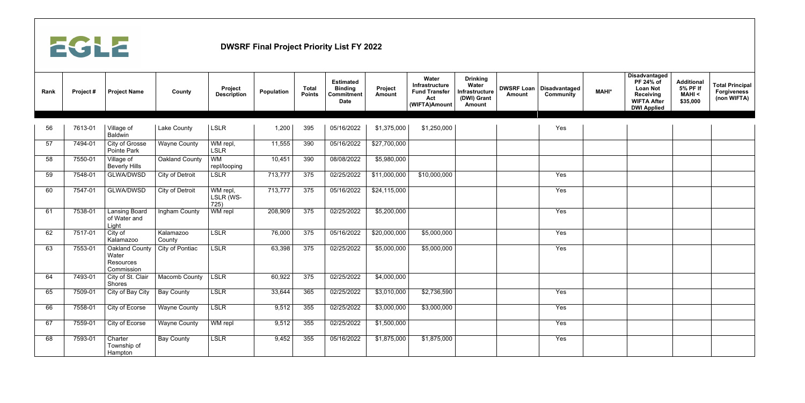

| Rank | Project# | <b>Project Name</b>                                       | County                 | Project<br><b>Description</b> | <b>Population</b> | <b>Total</b><br><b>Points</b> | <b>Estimated</b><br><b>Binding</b><br><b>Commitment</b><br><b>Date</b> | Project<br><b>Amount</b> | Water<br>Infrastructure<br><b>Fund Transfer</b><br>Act<br>(WIFTA)Amount | <b>Drinking</b><br>Water<br>Infrastructure<br>(DWI) Grant<br><b>Amount</b> | <b>Amount</b> | <b>DWSRF Loan   Disadvantaged</b><br><b>Community</b> | <b>MAHI*</b> | <b>Disadvantaged</b><br>PF 24% of<br><b>Loan Not</b><br><b>Receiving</b><br><b>WIFTA After</b><br><b>DWI Applied</b> | <b>Additional</b><br>5% PF If<br><b>MAHI &lt;</b><br>\$35,000 | <b>Total Principal</b><br><b>Forgiveness</b><br>(non WIFTA) |
|------|----------|-----------------------------------------------------------|------------------------|-------------------------------|-------------------|-------------------------------|------------------------------------------------------------------------|--------------------------|-------------------------------------------------------------------------|----------------------------------------------------------------------------|---------------|-------------------------------------------------------|--------------|----------------------------------------------------------------------------------------------------------------------|---------------------------------------------------------------|-------------------------------------------------------------|
| 56   | 7613-01  |                                                           | Lake County            | <b>LSLR</b>                   | 1,200             | 395                           | 05/16/2022                                                             | \$1,375,000              | \$1,250,000                                                             |                                                                            |               | Yes                                                   |              |                                                                                                                      |                                                               |                                                             |
|      |          | Village of<br><b>Baldwin</b>                              |                        |                               |                   |                               |                                                                        |                          |                                                                         |                                                                            |               |                                                       |              |                                                                                                                      |                                                               |                                                             |
| 57   | 7494-01  | City of Grosse<br><b>Pointe Park</b>                      | <b>Wayne County</b>    | WM repl,<br><b>LSLR</b>       | 11,555            | 390                           | 05/16/2022                                                             | \$27,700,000             |                                                                         |                                                                            |               |                                                       |              |                                                                                                                      |                                                               |                                                             |
| 58   | 7550-01  | Village of<br><b>Beverly Hills</b>                        | Oakland County         | <b>WM</b><br>repl/looping     | 10,451            | 390                           | 08/08/2022                                                             | \$5,980,000              |                                                                         |                                                                            |               |                                                       |              |                                                                                                                      |                                                               |                                                             |
| 59   | 7548-01  | <b>GLWA/DWSD</b>                                          | <b>City of Detroit</b> | <b>LSLR</b>                   | 713,777           | 375                           | 02/25/2022                                                             | \$11,000,000             | \$10,000,000                                                            |                                                                            |               | Yes                                                   |              |                                                                                                                      |                                                               |                                                             |
| 60   | 7547-01  | <b>GLWA/DWSD</b>                                          | <b>City of Detroit</b> | WM repl,<br>LSLR (WS-<br>725) | 713,777           | 375                           | 05/16/2022                                                             | \$24,115,000             |                                                                         |                                                                            |               | Yes                                                   |              |                                                                                                                      |                                                               |                                                             |
| 61   | 7538-01  | <b>Lansing Board</b><br>of Water and<br>Light             | Ingham County          | WM repl                       | 208,909           | 375                           | 02/25/2022                                                             | \$5,200,000              |                                                                         |                                                                            |               | Yes                                                   |              |                                                                                                                      |                                                               |                                                             |
| 62   | 7517-01  | City of<br>Kalamazoo                                      | Kalamazoo<br>County    | <b>LSLR</b>                   | 76,000            | 375                           | 05/16/2022                                                             | \$20,000,000             | \$5,000,000                                                             |                                                                            |               | Yes                                                   |              |                                                                                                                      |                                                               |                                                             |
| 63   | 7553-01  | <b>Oakland County</b><br>Water<br>Resources<br>Commission | City of Pontiac        | <b>LSLR</b>                   | 63,398            | 375                           | 02/25/2022                                                             | \$5,000,000              | \$5,000,000                                                             |                                                                            |               | Yes                                                   |              |                                                                                                                      |                                                               |                                                             |
| 64   | 7493-01  | City of St. Clair<br><b>Shores</b>                        | Macomb County          | <b>LSLR</b>                   | 60,922            | 375                           | 02/25/2022                                                             | \$4,000,000              |                                                                         |                                                                            |               |                                                       |              |                                                                                                                      |                                                               |                                                             |
| 65   | 7509-01  | City of Bay City   Bay County                             |                        | <b>LSLR</b>                   | 33,644            | 365                           | 02/25/2022                                                             | \$3,010,000              | \$2,736,590                                                             |                                                                            |               | Yes                                                   |              |                                                                                                                      |                                                               |                                                             |
| 66   | 7558-01  | City of Ecorse                                            | <b>Wayne County</b>    | LSLR                          | 9,512             | 355                           | 02/25/2022                                                             | \$3,000,000              | \$3,000,000                                                             |                                                                            |               | Yes                                                   |              |                                                                                                                      |                                                               |                                                             |
| 67   | 7559-01  | City of Ecorse                                            | <b>Wayne County</b>    | WM repl                       | 9,512             | 355                           | 02/25/2022                                                             | \$1,500,000              |                                                                         |                                                                            |               | Yes                                                   |              |                                                                                                                      |                                                               |                                                             |
| 68   | 7593-01  | Charter<br>Township of<br>Hampton                         | <b>Bay County</b>      | <b>LSLR</b>                   | 9,452             | 355                           | 05/16/2022                                                             | \$1,875,000              | \$1,875,000                                                             |                                                                            |               | Yes                                                   |              |                                                                                                                      |                                                               |                                                             |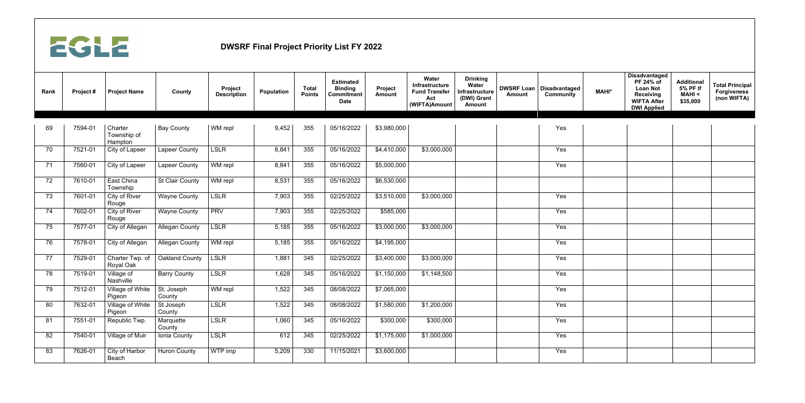

| Rank | Project# | <b>Project Name</b>               | County                                  | Project<br><b>Description</b> | <b>Population</b> | <b>Total</b><br><b>Points</b> | <b>Estimated</b><br><b>Binding</b><br><b>Commitment</b><br><b>Date</b> | Project<br><b>Amount</b> | Water<br>Infrastructure<br><b>Fund Transfer</b><br>Act<br>(WIFTA)Amount | <b>Drinking</b><br>Water<br><b>Infrastructure</b><br>(DWI) Grant<br><b>Amount</b> | <b>DWSRF Loan</b><br><b>Amount</b> | <b>Disadvantaged</b><br><b>Community</b> | <b>MAHI*</b> | <b>Disadvantaged</b><br>PF 24% of<br><b>Loan Not</b><br><b>Receiving</b><br><b>WIFTA After</b><br><b>DWI Applied</b> | <b>Additional</b><br>5% PF If<br><b>MAHI &lt;</b><br>\$35,000 | <b>Total Principal</b><br><b>Forgiveness</b><br>(non WIFTA) |
|------|----------|-----------------------------------|-----------------------------------------|-------------------------------|-------------------|-------------------------------|------------------------------------------------------------------------|--------------------------|-------------------------------------------------------------------------|-----------------------------------------------------------------------------------|------------------------------------|------------------------------------------|--------------|----------------------------------------------------------------------------------------------------------------------|---------------------------------------------------------------|-------------------------------------------------------------|
| 69   | 7594-01  | Charter<br>Township of<br>Hampton | <b>Bay County</b>                       | WM repl                       | 9,452             | 355                           | 05/16/2022                                                             | \$3,980,000              |                                                                         |                                                                                   |                                    | Yes                                      |              |                                                                                                                      |                                                               |                                                             |
| 70   | 7521-01  | City of Lapeer                    | <b>Lapeer County</b>                    | <b>LSLR</b>                   | 8,841             | 355                           | 05/16/2022                                                             | \$4,410,000              | \$3,000,000                                                             |                                                                                   |                                    | Yes                                      |              |                                                                                                                      |                                                               |                                                             |
| 71   | 7560-01  | City of Lapeer                    | <b>Lapeer County</b>                    | WM repl                       | 8,841             | 355                           | 05/16/2022                                                             | \$5,000,000              |                                                                         |                                                                                   |                                    | Yes                                      |              |                                                                                                                      |                                                               |                                                             |
| 72   | 7610-01  | East China<br>Township            | <b>St Clair County</b>                  | WM repl                       | 8,531             | 355                           | 05/16/2022                                                             | \$6,530,000              |                                                                         |                                                                                   |                                    |                                          |              |                                                                                                                      |                                                               |                                                             |
| 73   | 7601-01  | <b>City of River</b><br>Rouge     | <b>Wayne County</b>                     | <b>LSLR</b>                   | 7,903             | 355                           | 02/25/2022                                                             | \$3,510,000              | \$3,000,000                                                             |                                                                                   |                                    | Yes                                      |              |                                                                                                                      |                                                               |                                                             |
| 74   | 7602-01  | City of River<br>Rouge            | <b>Wayne County</b>                     | <b>PRV</b>                    | 7,903             | 355                           | 02/25/2022                                                             | \$585,000                |                                                                         |                                                                                   |                                    | Yes                                      |              |                                                                                                                      |                                                               |                                                             |
| 75   | 7577-01  | City of Allegan                   | <b>Allegan County</b>                   | <b>LSLR</b>                   | 5,185             | 355                           | 05/16/2022                                                             | \$3,000,000              | \$3,000,000                                                             |                                                                                   |                                    | Yes                                      |              |                                                                                                                      |                                                               |                                                             |
| 76   | 7578-01  | City of Allegan                   | <b>Allegan County</b>                   | WM repl                       | 5,185             | 355                           | 05/16/2022                                                             | \$4,195,000              |                                                                         |                                                                                   |                                    | Yes                                      |              |                                                                                                                      |                                                               |                                                             |
| 77   | 7529-01  | Charter Twp. of<br>Royal Oak      | Oakland County                          | <b>LSLR</b>                   | 1,881             | 345                           | 02/25/2022                                                             | \$3,400,000              | \$3,000,000                                                             |                                                                                   |                                    | Yes                                      |              |                                                                                                                      |                                                               |                                                             |
| 78   | 7519-01  | Village of<br>Nashville           | <b>Barry County</b>                     | <b>LSLR</b>                   | 1,628             | 345                           | 05/16/2022                                                             | \$1,150,000              | \$1,148,500                                                             |                                                                                   |                                    | Yes                                      |              |                                                                                                                      |                                                               |                                                             |
| 79   | 7512-01  | Village of White<br>Pigeon        | $\sqrt{\mathsf{S}}$ t. Joseph<br>County | WM repl                       | 1,522             | 345                           | 08/08/2022                                                             | \$7,065,000              |                                                                         |                                                                                   |                                    | Yes                                      |              |                                                                                                                      |                                                               |                                                             |
| 80   | 7632-01  | Village of White<br>Pigeon        | St Joseph<br>County                     | <b>LSLR</b>                   | 1,522             | 345                           | 08/08/2022                                                             | \$1,580,000              | \$1,200,000                                                             |                                                                                   |                                    | Yes                                      |              |                                                                                                                      |                                                               |                                                             |
| 81   | 7551-01  | Republic Twp.                     | Marquette<br>County                     | LSLR                          | 1,060             | 345                           | 05/16/2022                                                             | \$300,000                | \$300,000                                                               |                                                                                   |                                    | Yes                                      |              |                                                                                                                      |                                                               |                                                             |
| 82   | 7540-01  | Village of Muir                   | Ionia County                            | LSLR                          | 612               | 345                           | 02/25/2022                                                             | \$1,175,000              | \$1,000,000                                                             |                                                                                   |                                    | Yes                                      |              |                                                                                                                      |                                                               |                                                             |
| 83   | 7626-01  | City of Harbor<br>Beach           | <b>Huron County</b>                     | WTP imp                       | 5,209             | 330                           | 11/15/2021                                                             | \$3,600,000              |                                                                         |                                                                                   |                                    | Yes                                      |              |                                                                                                                      |                                                               |                                                             |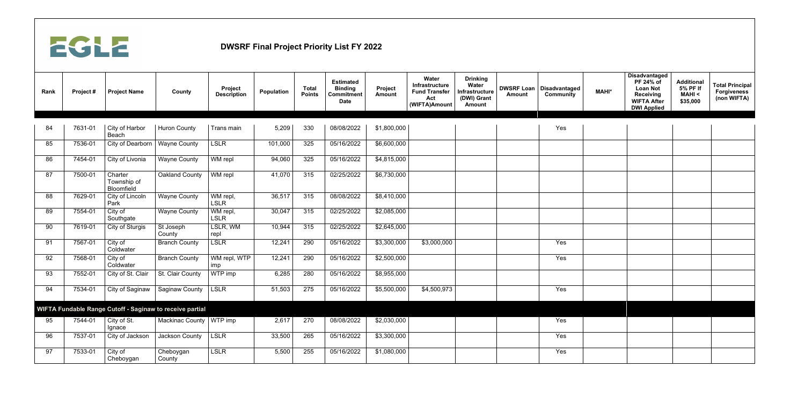

| Rank | Project# | <b>Project Name</b>                  | County                                                   | Project<br><b>Description</b> | Population | <b>Total</b><br><b>Points</b> | <b>Estimated</b><br><b>Binding</b><br><b>Commitment</b><br><b>Date</b> | Project<br><b>Amount</b> | Water<br>Infrastructure<br><b>Fund Transfer</b><br>Act<br>(WIFTA)Amount | <b>Drinking</b><br>Water<br>Infrastructure<br>(DWI) Grant<br><b>Amount</b> | <b>Amount</b> | <b>DWSRF Loan   Disadvantaged</b><br><b>Community</b> | <b>MAHI*</b> | <b>Disadvantaged</b><br>PF 24% of<br><b>Loan Not</b><br><b>Receiving</b><br><b>WIFTA After</b><br><b>DWI Applied</b> | <b>Additional</b><br>5% PF If<br><b>MAHI &lt;</b><br>\$35,000 | <b>Total Principal</b><br><b>Forgiveness</b><br>(non WIFTA) |
|------|----------|--------------------------------------|----------------------------------------------------------|-------------------------------|------------|-------------------------------|------------------------------------------------------------------------|--------------------------|-------------------------------------------------------------------------|----------------------------------------------------------------------------|---------------|-------------------------------------------------------|--------------|----------------------------------------------------------------------------------------------------------------------|---------------------------------------------------------------|-------------------------------------------------------------|
|      |          |                                      |                                                          |                               |            |                               |                                                                        |                          |                                                                         |                                                                            |               |                                                       |              |                                                                                                                      |                                                               |                                                             |
| 84   | 7631-01  | City of Harbor<br>Beach              | <b>Huron County</b>                                      | Trans main                    | 5,209      | 330                           | 08/08/2022                                                             | \$1,800,000              |                                                                         |                                                                            |               | Yes                                                   |              |                                                                                                                      |                                                               |                                                             |
| 85   | 7536-01  | City of Dearborn                     | <b>Wayne County</b>                                      | <b>LSLR</b>                   | 101,000    | 325                           | 05/16/2022                                                             | \$6,600,000              |                                                                         |                                                                            |               |                                                       |              |                                                                                                                      |                                                               |                                                             |
| 86   | 7454-01  | City of Livonia                      | <b>Wayne County</b>                                      | WM repl                       | 94,060     | 325                           | 05/16/2022                                                             | \$4,815,000              |                                                                         |                                                                            |               |                                                       |              |                                                                                                                      |                                                               |                                                             |
| 87   | 7500-01  | Charter<br>Township of<br>Bloomfield | <b>Oakland County</b>                                    | WM repl                       | 41,070     | 315                           | 02/25/2022                                                             | \$6,730,000              |                                                                         |                                                                            |               |                                                       |              |                                                                                                                      |                                                               |                                                             |
| 88   | 7629-01  | City of Lincoln<br>Park              | <b>Wayne County</b>                                      | WM repl,<br><b>LSLR</b>       | 36,517     | 315                           | 08/08/2022                                                             | \$8,410,000              |                                                                         |                                                                            |               |                                                       |              |                                                                                                                      |                                                               |                                                             |
| 89   | 7554-01  | City of<br>Southgate                 | <b>Wayne County</b>                                      | WM repl,<br><b>LSLR</b>       | 30,047     | 315                           | 02/25/2022                                                             | \$2,085,000              |                                                                         |                                                                            |               |                                                       |              |                                                                                                                      |                                                               |                                                             |
| 90   | 7619-01  | <b>City of Sturgis</b>               | St Joseph<br>County                                      | LSLR, WM<br>repl              | 10,944     | 315                           | 02/25/2022                                                             | \$2,645,000              |                                                                         |                                                                            |               |                                                       |              |                                                                                                                      |                                                               |                                                             |
| 91   | 7567-01  | City of<br>Coldwater                 | <b>Branch County</b>                                     | <b>LSLR</b>                   | 12,241     | 290                           | 05/16/2022                                                             | \$3,300,000              | \$3,000,000                                                             |                                                                            |               | Yes                                                   |              |                                                                                                                      |                                                               |                                                             |
| 92   | 7568-01  | City of<br>Coldwater                 | <b>Branch County</b>                                     | WM repl, WTP<br>imp           | 12,241     | 290                           | 05/16/2022                                                             | \$2,500,000              |                                                                         |                                                                            |               | Yes                                                   |              |                                                                                                                      |                                                               |                                                             |
| 93   | 7552-01  | City of St. Clair                    | St. Clair County                                         | WTP imp                       | 6,285      | 280                           | 05/16/2022                                                             | \$8,955,000              |                                                                         |                                                                            |               |                                                       |              |                                                                                                                      |                                                               |                                                             |
| 94   | 7534-01  |                                      | City of Saginaw   Saginaw County   LSLR                  |                               | 51,503     | 275                           | 05/16/2022                                                             | \$5,500,000              | \$4,500,973                                                             |                                                                            |               | Yes                                                   |              |                                                                                                                      |                                                               |                                                             |
|      |          |                                      | WIFTA Fundable Range Cutoff - Saginaw to receive partial |                               |            |                               |                                                                        |                          |                                                                         |                                                                            |               |                                                       |              |                                                                                                                      |                                                               |                                                             |
| 95   | 7544-01  | City of St.<br>Ignace                | Mackinac County   WTP imp                                |                               | 2,617      | 270                           | 08/08/2022                                                             | \$2,030,000              |                                                                         |                                                                            |               | Yes                                                   |              |                                                                                                                      |                                                               |                                                             |
| 96   | 7537-01  | City of Jackson                      | <b>Jackson County</b>                                    | LSLR                          | 33,500     | 265                           | 05/16/2022                                                             | \$3,300,000              |                                                                         |                                                                            |               | Yes                                                   |              |                                                                                                                      |                                                               |                                                             |
| 97   | 7533-01  | City of<br>Cheboygan                 | Cheboygan<br>County                                      | <b>LSLR</b>                   | 5,500      | 255                           | 05/16/2022                                                             | \$1,080,000              |                                                                         |                                                                            |               | Yes                                                   |              |                                                                                                                      |                                                               |                                                             |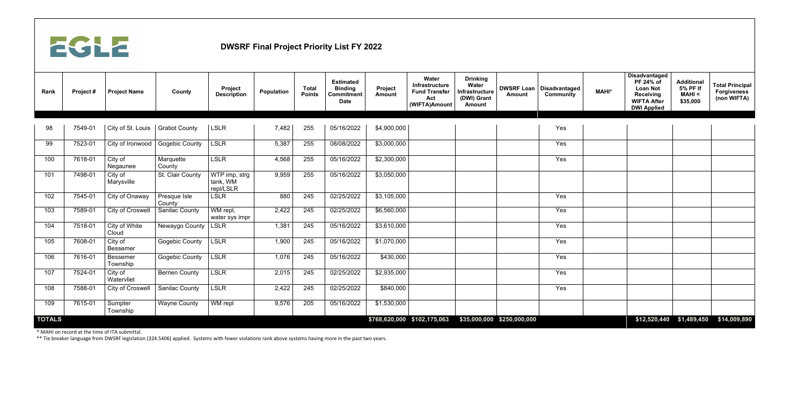

| Rank          | Project# | <b>Project Name</b>         | County                 | Project<br><b>Description</b>                              | <b>Population</b> | <b>Total</b><br><b>Points</b> | <b>Estimated</b><br><b>Binding</b><br><b>Commitment</b><br><b>Date</b> | Project<br><b>Amount</b>    | Water<br>Infrastructure<br><b>Fund Transfer</b><br>Act<br>(WIFTA)Amount | <b>Drinking</b><br><b>Water</b><br>Infrastructure<br>(DWI) Grant<br><b>Amount</b> | <b>DWSRF Loan</b><br><b>Amount</b> | <b>Disadvantaged</b><br><b>Community</b> | <b>MAHI*</b> | <b>Disadvantaged</b><br>PF 24% of<br><b>Loan Not</b><br><b>Receiving</b><br><b>WIFTA After</b><br><b>DWI Applied</b> | <b>Additional</b><br>5% PF If<br><b>MAHI &lt;</b><br>\$35,000 | <b>Total Principal</b><br><b>Forgiveness</b><br>(non WIFTA) |
|---------------|----------|-----------------------------|------------------------|------------------------------------------------------------|-------------------|-------------------------------|------------------------------------------------------------------------|-----------------------------|-------------------------------------------------------------------------|-----------------------------------------------------------------------------------|------------------------------------|------------------------------------------|--------------|----------------------------------------------------------------------------------------------------------------------|---------------------------------------------------------------|-------------------------------------------------------------|
|               |          |                             |                        |                                                            |                   |                               |                                                                        |                             |                                                                         |                                                                                   |                                    |                                          |              |                                                                                                                      |                                                               |                                                             |
| 98            | 7549-01  | City of St. Louis           | <b>Gratiot County</b>  | <b>LSLR</b>                                                | 7,482             | 255                           | 05/16/2022                                                             | \$4,900,000                 |                                                                         |                                                                                   |                                    | Yes                                      |              |                                                                                                                      |                                                               |                                                             |
| 99            | 7523-01  | City of Ironwood            | <b>Gogebic County</b>  | <b>LSLR</b>                                                | 5,387             | 255                           | 08/08/2022                                                             | \$3,000,000                 |                                                                         |                                                                                   |                                    | Yes                                      |              |                                                                                                                      |                                                               |                                                             |
| 100           | 7618-01  | City of<br>Negaunee         | Marquette<br>County    | <b>LSLR</b>                                                | 4,568             | 255                           | 05/16/2022                                                             | \$2,300,000                 |                                                                         |                                                                                   |                                    | Yes                                      |              |                                                                                                                      |                                                               |                                                             |
| 101           | 7498-01  | City of<br>Marysville       | St. Clair County       | $\overline{\text{WTP}}$ imp, strg<br>tank, WM<br>repl/LSLR | 9,959             | 255                           | 05/16/2022                                                             | \$3,050,000                 |                                                                         |                                                                                   |                                    |                                          |              |                                                                                                                      |                                                               |                                                             |
| 102           | 7545-01  | City of Onaway              | Presque Isle<br>County | <b>LSLR</b>                                                | 880               | 245                           | 02/25/2022                                                             | \$3,105,000                 |                                                                         |                                                                                   |                                    | Yes                                      |              |                                                                                                                      |                                                               |                                                             |
| 103           | 7589-01  | <b>City of Croswell</b>     | <b>Sanilac County</b>  | WM repl,<br>water sys impr                                 | 2,422             | 245                           | 02/25/2022                                                             | \$6,560,000                 |                                                                         |                                                                                   |                                    | Yes                                      |              |                                                                                                                      |                                                               |                                                             |
| 104           | 7518-01  | City of White<br>Cloud      | Newaygo County         | <b>LSLR</b>                                                | 1,381             | 245                           | 05/16/2022                                                             | \$3,610,000                 |                                                                         |                                                                                   |                                    | Yes                                      |              |                                                                                                                      |                                                               |                                                             |
| 105           | 7608-01  | City of<br><b>Bessemer</b>  | <b>Gogebic County</b>  | <b>LSLR</b>                                                | 1,900             | 245                           | 05/16/2022                                                             | \$1,070,000                 |                                                                         |                                                                                   |                                    | Yes                                      |              |                                                                                                                      |                                                               |                                                             |
| 106           | 7616-01  | <b>Bessemer</b><br>Township | <b>Gogebic County</b>  | <b>LSLR</b>                                                | 1,076             | 245                           | 05/16/2022                                                             | \$430,000                   |                                                                         |                                                                                   |                                    | Yes                                      |              |                                                                                                                      |                                                               |                                                             |
| 107           | 7524-01  | City of<br>Watervliet       | <b>Berrien County</b>  | <b>LSLR</b>                                                | 2,015             | 245                           | 02/25/2022                                                             | \$2,935,000                 |                                                                         |                                                                                   |                                    | Yes                                      |              |                                                                                                                      |                                                               |                                                             |
| 108           | 7588-01  | <b>City of Croswell</b>     | <b>Sanilac County</b>  | <b>LSLR</b>                                                | 2,422             | 245                           | 02/25/2022                                                             | \$840,000                   |                                                                         |                                                                                   |                                    | Yes                                      |              |                                                                                                                      |                                                               |                                                             |
| 109           | 7615-01  | Sumpter<br>Township         | <b>Wayne County</b>    | WM repl                                                    | 9,576             | 205                           | 05/16/2022                                                             | \$1,530,000                 |                                                                         |                                                                                   |                                    |                                          |              |                                                                                                                      |                                                               |                                                             |
| <b>TOTALS</b> |          |                             |                        |                                                            |                   |                               |                                                                        | \$768,620,000 \$102,175,063 |                                                                         |                                                                                   | \$35,000,000 \$250,000,000         |                                          |              |                                                                                                                      | $$12,520,440$ $$1,489,450$                                    | \$14,009,890                                                |

\* MAHI on record at the time of ITA submittal.

\*\* Tie breaker language from DWSRF legislation (324.5406) applied. Systems with fewer violations rank above systems having more in the past two years.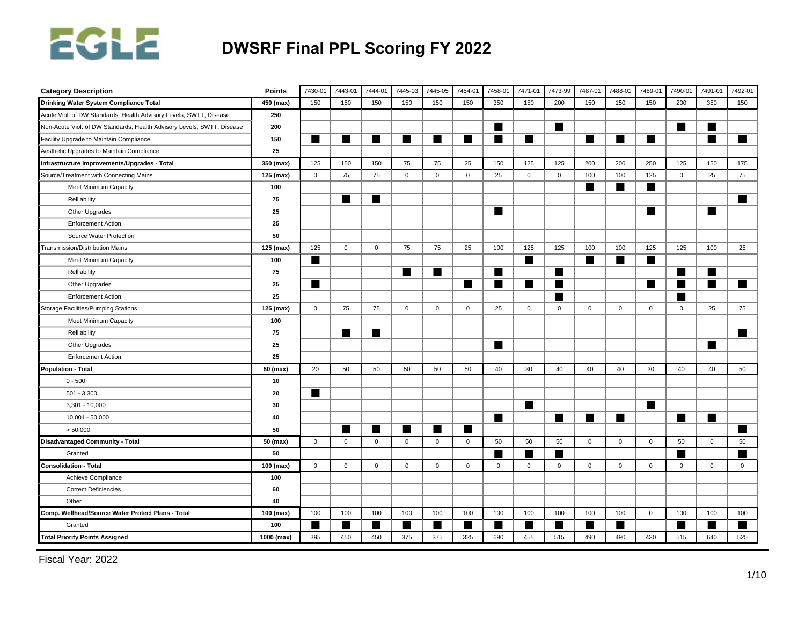

| <b>Category Description</b>                                            | <b>Points</b> | 7430-01     | 7443-01     | 7444-01     | 7445-03        | 7445-05      | 7454-01     | 7458-01          | 7471-01        | 7473-99     | 7487-01        | 7488-01        | 7489-01     | 7490-01     | 7491-01      | 7492-01     |
|------------------------------------------------------------------------|---------------|-------------|-------------|-------------|----------------|--------------|-------------|------------------|----------------|-------------|----------------|----------------|-------------|-------------|--------------|-------------|
| Drinking Water System Compliance Total                                 | 450 (max)     | 150         | 150         | 150         | 150            | 150          | 150         | 350              | 150            | 200         | 150            | 150            | 150         | 200         | 350          | 150         |
| Acute Viol. of DW Standards, Health Advisory Levels, SWTT, Disease     | 250           |             |             |             |                |              |             |                  |                |             |                |                |             |             |              |             |
| Non-Acute Viol. of DW Standards, Health Advisory Levels, SWTT, Disease | 200           |             |             |             |                |              |             | ш                |                | ■           |                |                |             |             | ٠            |             |
| Facility Upgrade to Maintain Compliance                                | 150           | ٠           | ٠           | <b>STEP</b> | ■              | <b>START</b> |             | <b>Reduction</b> | ٠              |             | ■              | ■              | ■           |             | ٠            | ٠           |
| Aesthetic Upgrades to Maintain Compliance                              | 25            |             |             |             |                |              |             |                  |                |             |                |                |             |             |              |             |
| Infrastructure Improvements/Upgrades - Total                           | 350 (max)     | 125         | 150         | 150         | 75             | 75           | 25          | 150              | 125            | 125         | 200            | 200            | 250         | 125         | 150          | 175         |
| Source/Treatment with Connecting Mains                                 | 125 (max)     | $\mathbf 0$ | 75          | 75          | $\mathbf{0}$   | $\mathbf{0}$ | $\mathsf 0$ | 25               | $\mathbf{0}$   | $\mathbf 0$ | 100            | 100            | 125         | $\mathbf 0$ | 25           | 75          |
| Meet Minimum Capacity                                                  | 100           |             |             |             |                |              |             |                  |                |             | ш              | ■              | ■           |             |              |             |
| Relliability                                                           | 75            |             | ■           | ▉           |                |              |             |                  |                |             |                |                |             |             |              | ■           |
| Other Upgrades                                                         | 25            |             |             |             |                |              |             | ш                |                |             |                |                | ■           |             | ■            |             |
| <b>Enforcement Action</b>                                              | 25            |             |             |             |                |              |             |                  |                |             |                |                |             |             |              |             |
| Source Water Protection                                                | 50            |             |             |             |                |              |             |                  |                |             |                |                |             |             |              |             |
| Transmission/Distribution Mains                                        | 125 (max)     | 125         | $\mathsf 0$ | $\mathbf 0$ | 75             | 75           | 25          | 100              | 125            | 125         | 100            | 100            | 125         | 125         | 100          | 25          |
| Meet Minimum Capacity                                                  | 100           | ш           |             |             |                |              |             |                  | $\blacksquare$ |             | $\blacksquare$ | $\blacksquare$ | ■           |             |              |             |
| Relliability                                                           | 75            |             |             |             | $\blacksquare$ | ■            |             | ■                |                | ■           |                |                |             | ■           | ٠            |             |
| Other Upgrades                                                         | 25            | ٠           |             |             |                |              | ш           |                  |                | E           |                |                | п           |             | ٠            | ■           |
| <b>Enforcement Action</b>                                              | 25            |             |             |             |                |              |             |                  |                | ٠           |                |                |             |             |              |             |
| Storage Facilities/Pumping Stations                                    | 125 (max)     | $\mathbf 0$ | 75          | 75          | $\mathsf{O}$   | $\mathsf{O}$ | $\mathbf 0$ | 25               | 0              | $\mathsf 0$ | $\mathsf 0$    | $\mathbf 0$    | $\mathbf 0$ | $\mathbf 0$ | 25           | 75          |
| Meet Minimum Capacity                                                  | 100           |             |             |             |                |              |             |                  |                |             |                |                |             |             |              |             |
| Relliability                                                           | 75            |             | ■           | H           |                |              |             |                  |                |             |                |                |             |             |              | ■           |
| Other Upgrades                                                         | 25            |             |             |             |                |              |             | ш                |                |             |                |                |             |             | ■            |             |
| <b>Enforcement Action</b>                                              | 25            |             |             |             |                |              |             |                  |                |             |                |                |             |             |              |             |
| <b>Population - Total</b>                                              | 50 (max)      | 20          | 50          | 50          | 50             | 50           | 50          | 40               | 30             | 40          | 40             | 40             | 30          | 40          | 40           | 50          |
| $0 - 500$                                                              | 10            |             |             |             |                |              |             |                  |                |             |                |                |             |             |              |             |
| $501 - 3,300$                                                          | 20            | ш           |             |             |                |              |             |                  |                |             |                |                |             |             |              |             |
| $3,301 - 10,000$                                                       | 30            |             |             |             |                |              |             |                  | ■              |             |                |                | п           |             |              |             |
| $10,001 - 50,000$                                                      | 40            |             |             |             |                |              |             | ш                |                | H           | ■              | ■              |             | ш           | ш            |             |
| > 50,000                                                               | 50            |             | ٠           | <b>STEP</b> | ш              | <b>START</b> |             |                  |                |             |                |                |             |             |              | ٠           |
| <b>Disadvantaged Community - Total</b>                                 | 50 (max)      | $\mathbf 0$ | $\mathsf 0$ | $\mathbf 0$ | $\mathbf 0$    | $\mathbf 0$  | $\mathsf 0$ | 50               | 50             | 50          | $\mathbf 0$    | $\mathbf 0$    | $\mathbf 0$ | 50          | $\mathbf 0$  | 50          |
| Granted                                                                | 50            |             |             |             |                |              |             |                  |                |             |                |                |             |             |              |             |
| <b>Consolidation - Total</b>                                           | 100 (max)     | $\mathbf 0$ | $\mathbf 0$ | $\mathbf 0$ | $\mathbf 0$    | $\mathbf 0$  | $\mathbf 0$ | $\mathbf 0$      | $\mathbf{0}$   | $\mathsf 0$ | $\mathbf 0$    | $\mathbf 0$    | $\mathbf 0$ | $\mathbf 0$ | $\mathbf{0}$ | $\mathbf 0$ |
| Achieve Compliance                                                     | 100           |             |             |             |                |              |             |                  |                |             |                |                |             |             |              |             |
| <b>Correct Deficiencies</b>                                            | 60            |             |             |             |                |              |             |                  |                |             |                |                |             |             |              |             |
| Other                                                                  | 40            |             |             |             |                |              |             |                  |                |             |                |                |             |             |              |             |
| Comp. Wellhead/Source Water Protect Plans - Total                      | 100 (max)     | 100         | 100         | 100         | 100            | 100          | 100         | 100              | 100            | 100         | 100            | 100            | $\mathbf 0$ | 100         | 100          | 100         |
| Granted                                                                | 100           |             | ٠           | ▅           | ш              |              |             |                  | ٠              | ٠           |                | <b>START</b>   |             |             | ٠            |             |
| <b>Total Priority Points Assigned</b>                                  | 1000 (max)    | 395         | 450         | 450         | 375            | 375          | 325         | 690              | 455            | 515         | 490            | 490            | 430         | 515         | 640          | 525         |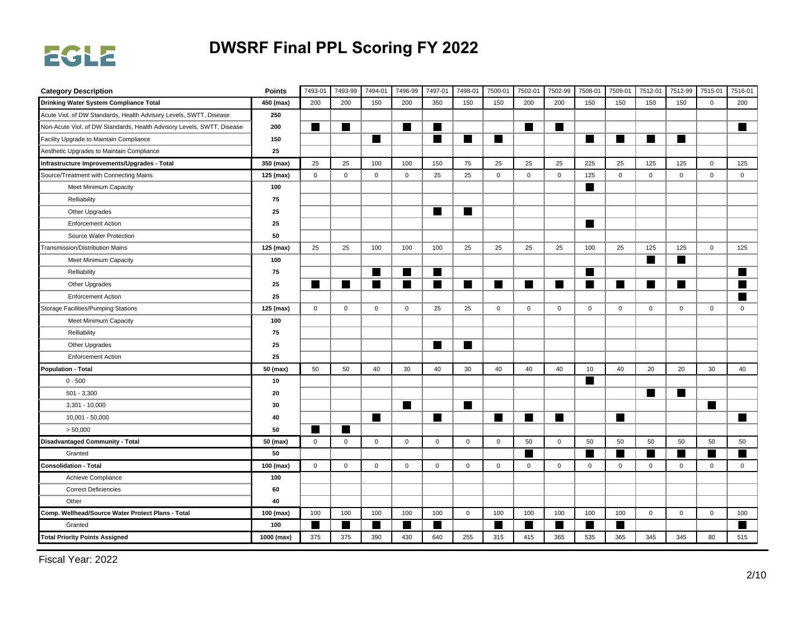

| <b>Category Description</b>                                            | <b>Points</b> | 7493-01     | 7493-99     | 7494-01     | 7496-99        | 7497-01     | 7498-01        | 7500-01        | 7502-01      | 7502-99     | 7508-01        | 7509-01      | 7512-01     | 7512-99      | 7515-01        | 7516-01        |
|------------------------------------------------------------------------|---------------|-------------|-------------|-------------|----------------|-------------|----------------|----------------|--------------|-------------|----------------|--------------|-------------|--------------|----------------|----------------|
| Drinking Water System Compliance Total                                 | 450 (max)     | 200         | 200         | 150         | 200            | 350         | 150            | 150            | 200          | 200         | 150            | 150          | 150         | 150          | $\mathsf{O}$   | 200            |
| Acute Viol. of DW Standards, Health Advisory Levels, SWTT, Disease     | 250           |             |             |             |                |             |                |                |              |             |                |              |             |              |                |                |
| Non-Acute Viol. of DW Standards, Health Advisory Levels, SWTT, Disease | 200           | ■           | ٠           |             | ш              | ■           |                |                | ■            | W           |                |              |             |              |                | ■              |
| Facility Upgrade to Maintain Compliance                                | 150           |             |             | ▅           |                | ▉           | ш              | ■              |              |             | ■              | ■            | ш           |              |                |                |
| Aesthetic Upgrades to Maintain Compliance                              | 25            |             |             |             |                |             |                |                |              |             |                |              |             |              |                |                |
| Infrastructure Improvements/Upgrades - Total                           | 350 (max)     | 25          | 25          | 100         | 100            | 150         | 75             | 25             | 25           | 25          | 225            | 25           | 125         | 125          | $\mathbf 0$    | 125            |
| Source/Treatment with Connecting Mains                                 | 125 (max)     | $\mathbf 0$ | $\mathbf 0$ | $\mathsf 0$ | $\mathbf 0$    | 25          | 25             | $\mathbf 0$    | $\mathbf 0$  | $\mathsf 0$ | 125            | $\mathbf{0}$ | $\mathbf 0$ | $\mathbf 0$  | $\mathbf 0$    | $\mathbf 0$    |
| Meet Minimum Capacity                                                  | 100           |             |             |             |                |             |                |                |              |             | ш              |              |             |              |                |                |
| Relliability                                                           | 75            |             |             |             |                |             |                |                |              |             |                |              |             |              |                |                |
| Other Upgrades                                                         | 25            |             |             |             |                | ш           | $\blacksquare$ |                |              |             |                |              |             |              |                |                |
| <b>Enforcement Action</b>                                              | 25            |             |             |             |                |             |                |                |              |             | ■              |              |             |              |                |                |
| Source Water Protection                                                | 50            |             |             |             |                |             |                |                |              |             |                |              |             |              |                |                |
| <b>Transmission/Distribution Mains</b>                                 | 125 (max)     | 25          | 25          | 100         | 100            | 100         | 25             | 25             | 25           | 25          | 100            | 25           | 125         | 125          | $\mathsf{O}$   | 125            |
| Meet Minimum Capacity                                                  | 100           |             |             |             |                |             |                |                |              |             |                |              | ш           | ■            |                |                |
| Relliability                                                           | 75            |             |             | ш           | ш              | ▆           |                |                |              |             | ш              |              |             |              |                |                |
| Other Upgrades                                                         | 25            | ш           | ٠           | ш           | $\blacksquare$ | ■           | ш              | $\blacksquare$ | ٠            | H           | $\blacksquare$ | ■            | ш           | ■            |                |                |
| <b>Enforcement Action</b>                                              | 25            |             |             |             |                |             |                |                |              |             |                |              |             |              |                |                |
| <b>Storage Facilities/Pumping Stations</b>                             | 125 (max)     | $\mathsf 0$ | $\mathbf 0$ | $\mathbf 0$ | $\mathsf 0$    | 25          | 25             | $\mathbf 0$    | 0            | $\mathsf 0$ | $\mathbf 0$    | $\mathbf 0$  | $\mathbf 0$ | $\mathsf{O}$ | $\mathbf 0$    | $\mathbf 0$    |
| Meet Minimum Capacity                                                  | 100           |             |             |             |                |             |                |                |              |             |                |              |             |              |                |                |
| Relliability                                                           | 75            |             |             |             |                |             |                |                |              |             |                |              |             |              |                |                |
| Other Upgrades                                                         | 25            |             |             |             |                | ■           | ш              |                |              |             |                |              |             |              |                |                |
| <b>Enforcement Action</b>                                              | 25            |             |             |             |                |             |                |                |              |             |                |              |             |              |                |                |
| <b>Population - Total</b>                                              | 50 (max)      | 50          | 50          | 40          | 30             | 40          | 30             | 40             | 40           | 40          | 10             | 40           | 20          | 20           | 30             | 40             |
| $0 - 500$                                                              | 10            |             |             |             |                |             |                |                |              |             | ш              |              |             |              |                |                |
| $501 - 3,300$                                                          | 20            |             |             |             |                |             |                |                |              |             |                |              | ш           | ш            |                |                |
| $3,301 - 10,000$                                                       | 30            |             |             |             | $\blacksquare$ |             | $\blacksquare$ |                |              |             |                |              |             |              | $\blacksquare$ |                |
| $10,001 - 50,000$                                                      | 40            |             |             | ш           |                | ■           |                |                |              | H           |                | ■            |             |              |                | $\blacksquare$ |
| > 50,000                                                               | 50            |             |             |             |                |             |                |                |              |             |                |              |             |              |                |                |
| <b>Disadvantaged Community - Total</b>                                 | 50 (max)      | $\mathsf 0$ | $\mathsf 0$ | $\mathsf 0$ | $\mathbf 0$    | $\mathbf 0$ | $\mathbf 0$    | $\mathbf 0$    | 50           | $\mathbf 0$ | 50             | 50           | 50          | 50           | 50             | 50             |
| Granted                                                                | 50            |             |             |             |                |             |                |                |              |             |                | ▆            |             |              |                |                |
| <b>Consolidation - Total</b>                                           | 100 (max)     | $\mathbf 0$ | $\mathbf 0$ | $\mathsf 0$ | $\mathsf 0$    | $\mathbf 0$ | $\mathbf 0$    | $\mathbf 0$    | $\mathbf{0}$ | $\mathsf 0$ | $\mathbf 0$    | $\mathsf 0$  | $\mathbf 0$ | $\mathbf 0$  | $\mathbf 0$    | $\mathbf 0$    |
| Achieve Compliance                                                     | 100           |             |             |             |                |             |                |                |              |             |                |              |             |              |                |                |
| <b>Correct Deficiencies</b>                                            | 60            |             |             |             |                |             |                |                |              |             |                |              |             |              |                |                |
| Other                                                                  | 40            |             |             |             |                |             |                |                |              |             |                |              |             |              |                |                |
| Comp. Wellhead/Source Water Protect Plans - Total                      | 100 (max)     | 100         | 100         | 100         | 100            | 100         | $\pmb{0}$      | 100            | 100          | 100         | 100            | 100          | $\mathbf 0$ | $\mathbf 0$  | $\mathbf 0$    | 100            |
| Granted                                                                | 100           |             | ٠           |             | ш              |             |                |                | ٠            | ٠           |                | ▆            |             |              |                |                |
| <b>Total Priority Points Assigned</b>                                  | 1000 (max)    | 375         | 375         | 390         | 430            | 640         | 255            | 315            | 415          | 365         | 535            | 365          | 345         | 345          | 80             | 515            |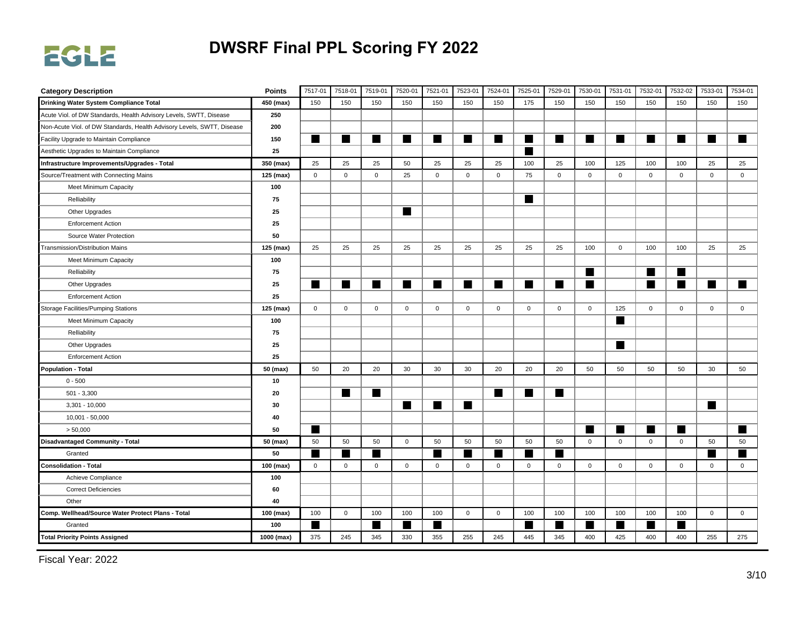

| <b>Category Description</b>                                            | <b>Points</b> | 7517-01      | 7518-01     | 7519-01     | 7520-01        | 7521-01     | 7523-01     | 7524-01     | 7525-01      | 7529-01     | 7530-01      | 7531-01      | 7532-01     | 7532-02      | 7533-01     | 7534-01     |
|------------------------------------------------------------------------|---------------|--------------|-------------|-------------|----------------|-------------|-------------|-------------|--------------|-------------|--------------|--------------|-------------|--------------|-------------|-------------|
| Drinking Water System Compliance Total                                 | 450 (max)     | 150          | 150         | 150         | 150            | 150         | 150         | 150         | 175          | 150         | 150          | 150          | 150         | 150          | 150         | 150         |
| Acute Viol. of DW Standards, Health Advisory Levels, SWTT, Disease     | 250           |              |             |             |                |             |             |             |              |             |              |              |             |              |             |             |
| Non-Acute Viol. of DW Standards, Health Advisory Levels, SWTT, Disease | 200           |              |             |             |                |             |             |             |              |             |              |              |             |              |             |             |
| Facility Upgrade to Maintain Compliance                                | 150           | ■            | ٠           | ▅           | ш              | ▅           | ш           | ■           | ٠            | H           | ▉            | ■            | ш           |              | ٠           | ٠           |
| Aesthetic Upgrades to Maintain Compliance                              | 25            |              |             |             |                |             |             |             | ▅            |             |              |              |             |              |             |             |
| Infrastructure Improvements/Upgrades - Total                           | 350 (max)     | 25           | 25          | 25          | 50             | 25          | 25          | 25          | 100          | 25          | 100          | 125          | 100         | 100          | 25          | 25          |
| Source/Treatment with Connecting Mains                                 | 125 (max)     | $\mathbf 0$  | $\mathbf 0$ | $\mathsf 0$ | 25             | $\mathbf 0$ | $\mathsf 0$ | $\mathbf 0$ | 75           | $\mathbf 0$ | $\mathbf 0$  | $\mathbf 0$  | $\mathbf 0$ | $\mathbf 0$  | $\mathsf 0$ | $\mathsf 0$ |
| Meet Minimum Capacity                                                  | 100           |              |             |             |                |             |             |             |              |             |              |              |             |              |             |             |
| Relliability                                                           | 75            |              |             |             |                |             |             |             | ■            |             |              |              |             |              |             |             |
| Other Upgrades                                                         | 25            |              |             |             | $\blacksquare$ |             |             |             |              |             |              |              |             |              |             |             |
| <b>Enforcement Action</b>                                              | 25            |              |             |             |                |             |             |             |              |             |              |              |             |              |             |             |
| Source Water Protection                                                | 50            |              |             |             |                |             |             |             |              |             |              |              |             |              |             |             |
| Transmission/Distribution Mains                                        | 125 (max)     | 25           | 25          | 25          | 25             | 25          | 25          | 25          | 25           | 25          | 100          | $\mathsf 0$  | 100         | 100          | 25          | 25          |
| Meet Minimum Capacity                                                  | 100           |              |             |             |                |             |             |             |              |             |              |              |             |              |             |             |
| Relliability                                                           | 75            |              |             |             |                |             |             |             |              |             | ■            |              | ш           |              |             |             |
| Other Upgrades                                                         | 25            | ш            | ■           | ш           | $\blacksquare$ | ■           | ш           |             | m.           | ■           | ■            |              | ■           |              | ш           | ■           |
| <b>Enforcement Action</b>                                              | 25            |              |             |             |                |             |             |             |              |             |              |              |             |              |             |             |
| Storage Facilities/Pumping Stations                                    | 125 (max)     | $\mathbf{0}$ | $\mathbf 0$ | $\mathsf 0$ | $\mathsf 0$    | $\mathbf 0$ | $\mathsf 0$ | $\mathbf 0$ | $\mathsf{O}$ | $\mathsf 0$ | $\mathbf 0$  | 125          | $\mathbf 0$ | $\mathbf 0$  | $\mathsf 0$ | $\mathbf 0$ |
| Meet Minimum Capacity                                                  | 100           |              |             |             |                |             |             |             |              |             |              | ш            |             |              |             |             |
| Relliability                                                           | 75            |              |             |             |                |             |             |             |              |             |              |              |             |              |             |             |
| Other Upgrades                                                         | 25            |              |             |             |                |             |             |             |              |             |              | ■            |             |              |             |             |
| <b>Enforcement Action</b>                                              | 25            |              |             |             |                |             |             |             |              |             |              |              |             |              |             |             |
| <b>Population - Total</b>                                              | 50 (max)      | 50           | 20          | 20          | 30             | 30          | 30          | 20          | 20           | 20          | 50           | 50           | 50          | 50           | 30          | 50          |
| $0 - 500$                                                              | 10            |              |             |             |                |             |             |             |              |             |              |              |             |              |             |             |
| $501 - 3,300$                                                          | 20            |              | ■           | ш           |                |             |             |             | ■            | ■           |              |              |             |              |             |             |
| $3,301 - 10,000$                                                       | 30            |              |             |             | ш              | ■           | ш           |             |              |             |              |              |             |              | ш           |             |
| 10,001 - 50,000                                                        | 40            |              |             |             |                |             |             |             |              |             |              |              |             |              |             |             |
| > 50,000                                                               | 50            | ٠            |             |             |                |             |             |             |              |             |              | ■            |             |              |             | ٠           |
| <b>Disadvantaged Community - Total</b>                                 | 50 (max)      | 50           | 50          | 50          | $\mathbf 0$    | 50          | 50          | 50          | 50           | 50          | $\mathbf{0}$ | $\mathbf 0$  | $\mathbf 0$ | $\mathbf{0}$ | 50          | 50          |
| Granted                                                                | 50            |              |             |             |                |             |             |             |              |             |              |              |             |              |             |             |
| <b>Consolidation - Total</b>                                           | 100 (max)     | $\mathbf 0$  | $\mathbf 0$ | $\mathsf 0$ | $\mathbf 0$    | $\mathbf 0$ | $\mathbf 0$ | $\mathbf 0$ | $\mathbf 0$  | $\mathsf 0$ | $\mathbf 0$  | $\mathbf 0$  | $\mathbf 0$ | $\mathbf 0$  | $\mathbf 0$ | $\mathsf 0$ |
| Achieve Compliance                                                     | 100           |              |             |             |                |             |             |             |              |             |              |              |             |              |             |             |
| <b>Correct Deficiencies</b>                                            | 60            |              |             |             |                |             |             |             |              |             |              |              |             |              |             |             |
| Other                                                                  | 40            |              |             |             |                |             |             |             |              |             |              |              |             |              |             |             |
| Comp. Wellhead/Source Water Protect Plans - Total                      | 100 (max)     | 100          | $\mathsf 0$ | 100         | 100            | 100         | $\mathsf 0$ | $\mathbf 0$ | 100          | 100         | 100          | 100          | 100         | 100          | $\mathsf 0$ | $\mathsf 0$ |
| Granted                                                                | 100           |              |             |             | ш              |             |             |             | ٠            | ٠           |              | <b>START</b> |             |              |             |             |
| <b>Total Priority Points Assigned</b>                                  | 1000 (max)    | 375          | 245         | 345         | 330            | 355         | 255         | 245         | 445          | 345         | 400          | 425          | 400         | 400          | 255         | 275         |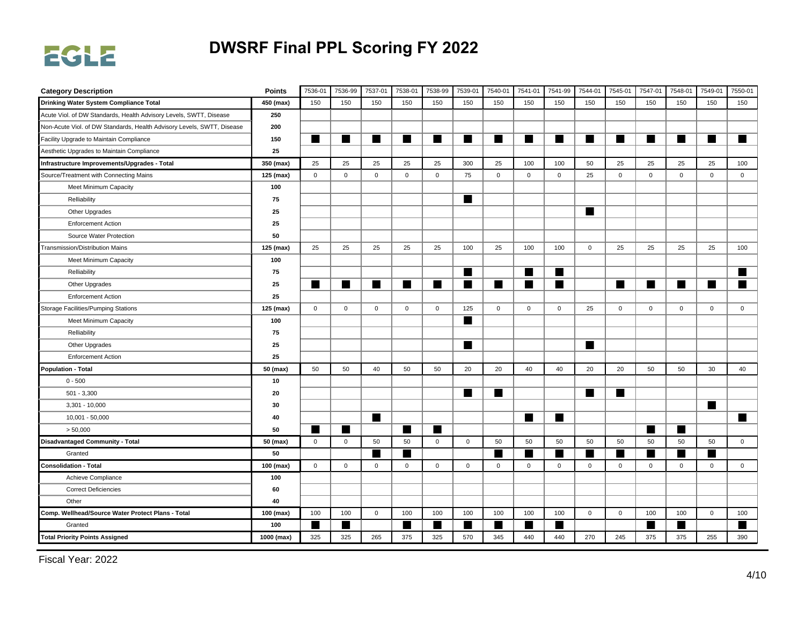

| <b>Category Description</b>                                            | <b>Points</b> | 7536-01      | 7536-99     | 7537-01     | 7538-01        | 7538-99     | 7539-01        | 7540-01     | 7541-01      | 7541-99      | 7544-01      | 7545-01     | 7547-01     | 7548-01      | 7549-01      | 7550-01     |
|------------------------------------------------------------------------|---------------|--------------|-------------|-------------|----------------|-------------|----------------|-------------|--------------|--------------|--------------|-------------|-------------|--------------|--------------|-------------|
| Drinking Water System Compliance Total                                 | 450 (max)     | 150          | 150         | 150         | 150            | 150         | 150            | 150         | 150          | 150          | 150          | 150         | 150         | 150          | 150          | 150         |
| Acute Viol. of DW Standards, Health Advisory Levels, SWTT, Disease     | 250           |              |             |             |                |             |                |             |              |              |              |             |             |              |              |             |
| Non-Acute Viol. of DW Standards, Health Advisory Levels, SWTT, Disease | 200           |              |             |             |                |             |                |             |              |              |              |             |             |              |              |             |
| Facility Upgrade to Maintain Compliance                                | 150           | ■            | ٠           | ▅           | ш              | ■           | ш              | ▅           | ▅            | H            | ▆            | ■           | ш           |              | ٠            | ٠           |
| Aesthetic Upgrades to Maintain Compliance                              | 25            |              |             |             |                |             |                |             |              |              |              |             |             |              |              |             |
| Infrastructure Improvements/Upgrades - Total                           | 350 (max)     | 25           | 25          | 25          | 25             | 25          | 300            | 25          | 100          | 100          | 50           | 25          | 25          | 25           | 25           | 100         |
| Source/Treatment with Connecting Mains                                 | 125 (max)     | $\mathbf 0$  | $\mathbf 0$ | $\mathsf 0$ | $\mathbf 0$    | 0           | 75             | $\mathbf 0$ | $\mathbf 0$  | $\mathsf 0$  | 25           | $\mathbf 0$ | $\mathbf 0$ | $\mathbf 0$  | $\mathbf 0$  | $\mathsf 0$ |
| Meet Minimum Capacity                                                  | 100           |              |             |             |                |             |                |             |              |              |              |             |             |              |              |             |
| Relliability                                                           | 75            |              |             |             |                |             | $\blacksquare$ |             |              |              |              |             |             |              |              |             |
| Other Upgrades                                                         | 25            |              |             |             |                |             |                |             |              |              | ш            |             |             |              |              |             |
| <b>Enforcement Action</b>                                              | 25            |              |             |             |                |             |                |             |              |              |              |             |             |              |              |             |
| Source Water Protection                                                | 50            |              |             |             |                |             |                |             |              |              |              |             |             |              |              |             |
| Transmission/Distribution Mains                                        | 125 (max)     | 25           | 25          | 25          | 25             | 25          | 100            | 25          | 100          | 100          | $\mathsf{O}$ | 25          | 25          | 25           | 25           | 100         |
| Meet Minimum Capacity                                                  | 100           |              |             |             |                |             |                |             |              |              |              |             |             |              |              |             |
| Relliability                                                           | 75            |              |             |             |                |             | ш              |             | ■            | ▅            |              |             |             |              |              | ٠           |
| Other Upgrades                                                         | 25            | ■            |             | ш           | $\blacksquare$ | ■           | ш              |             | ■            | H            |              | ■           | ш           |              | ٠            | ٠           |
| <b>Enforcement Action</b>                                              | 25            |              |             |             |                |             |                |             |              |              |              |             |             |              |              |             |
| <b>Storage Facilities/Pumping Stations</b>                             | 125 (max)     | $\mathbf 0$  | $\mathbf 0$ | $\mathbf 0$ | $\mathsf 0$    | 0           | 125            | $\mathsf 0$ | $\mathsf{O}$ | $\mathsf{O}$ | 25           | $\mathbf 0$ | $\mathbf 0$ | $\mathsf{O}$ | $\mathsf{O}$ | $\mathbf 0$ |
| Meet Minimum Capacity                                                  | 100           |              |             |             |                |             | ш              |             |              |              |              |             |             |              |              |             |
| Relliability                                                           | 75            |              |             |             |                |             |                |             |              |              |              |             |             |              |              |             |
| Other Upgrades                                                         | 25            |              |             |             |                |             | ш              |             |              |              | ■            |             |             |              |              |             |
| <b>Enforcement Action</b>                                              | 25            |              |             |             |                |             |                |             |              |              |              |             |             |              |              |             |
| <b>Population - Total</b>                                              | 50 (max)      | 50           | 50          | 40          | 50             | 50          | 20             | 20          | 40           | 40           | 20           | 20          | 50          | 50           | 30           | 40          |
| $0 - 500$                                                              | 10            |              |             |             |                |             |                |             |              |              |              |             |             |              |              |             |
| $501 - 3,300$                                                          | 20            |              |             |             |                |             | ш              |             |              |              | ■            | ■           |             |              |              |             |
| $3,301 - 10,000$                                                       | 30            |              |             |             |                |             |                |             |              |              |              |             |             |              | ш            |             |
| 10,001 - 50,000                                                        | 40            |              |             | ш           |                |             |                |             | ■            | H            |              |             |             |              |              | ■           |
| > 50,000                                                               | 50            | ٠            | ٠           |             | ш              |             |                |             |              |              |              |             |             |              |              |             |
| <b>Disadvantaged Community - Total</b>                                 | 50 (max)      | $\mathbf 0$  | $\mathsf 0$ | 50          | 50             | $\mathbf 0$ | $\mathbf 0$    | 50          | 50           | 50           | 50           | 50          | 50          | 50           | 50           | $\mathbf 0$ |
| Granted                                                                | 50            |              |             |             | m              |             |                |             |              | ٠            |              |             |             |              |              |             |
| <b>Consolidation - Total</b>                                           | 100 (max)     | $\mathbf{0}$ | $\mathbf 0$ | $\mathsf 0$ | $\mathsf 0$    | $\mathbf 0$ | $\mathsf 0$    | $\mathbf 0$ | $\mathbf{0}$ | $\mathsf 0$  | $\mathbf 0$  | $\mathsf 0$ | $\mathbf 0$ | $\mathbf 0$  | $\mathbf{0}$ | $\mathbf 0$ |
| Achieve Compliance                                                     | 100           |              |             |             |                |             |                |             |              |              |              |             |             |              |              |             |
| <b>Correct Deficiencies</b>                                            | 60            |              |             |             |                |             |                |             |              |              |              |             |             |              |              |             |
| Other                                                                  | 40            |              |             |             |                |             |                |             |              |              |              |             |             |              |              |             |
| Comp. Wellhead/Source Water Protect Plans - Total                      | 100 (max)     | 100          | 100         | $\mathsf 0$ | 100            | 100         | 100            | 100         | 100          | 100          | $\mathbf 0$  | $\mathbf 0$ | 100         | 100          | $\mathsf 0$  | 100         |
| Granted                                                                | 100           |              | ٠           |             | ■              |             |                |             | ▅            | ٠            |              |             |             |              |              |             |
| <b>Total Priority Points Assigned</b>                                  | 1000 (max)    | 325          | 325         | 265         | 375            | 325         | 570            | 345         | 440          | 440          | 270          | 245         | 375         | 375          | 255          | 390         |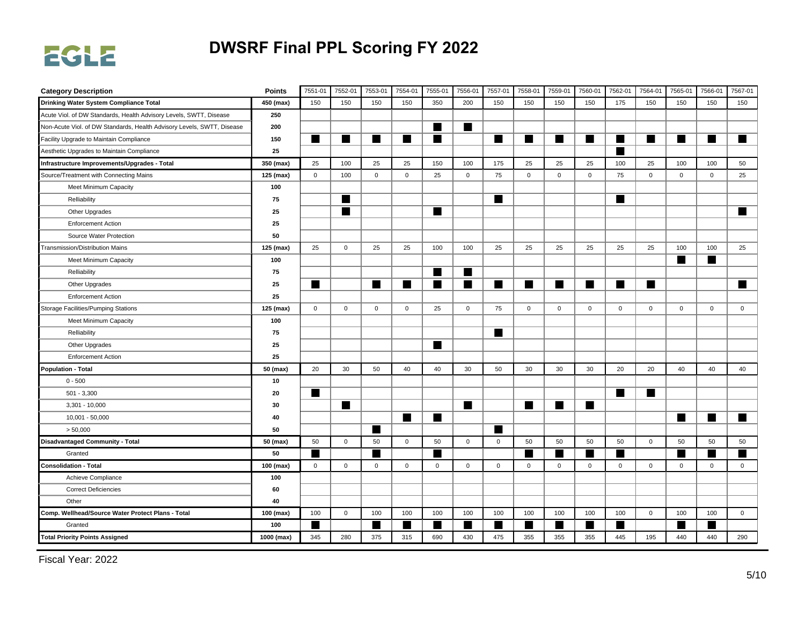

| <b>Category Description</b>                                            | <b>Points</b> | 7551-01      | 7552-01        | 7553-01        | 7554-01        | 7555-01     | 7556-01        | 7557-01      | 7558-01        | 7559-01     | 7560-01     | 7562-01        | 7564-01     | 7565-01     | 7566-01     | 7567-01     |
|------------------------------------------------------------------------|---------------|--------------|----------------|----------------|----------------|-------------|----------------|--------------|----------------|-------------|-------------|----------------|-------------|-------------|-------------|-------------|
| Drinking Water System Compliance Total                                 | 450 (max)     | 150          | 150            | 150            | 150            | 350         | 200            | 150          | 150            | 150         | 150         | 175            | 150         | 150         | 150         | 150         |
| Acute Viol. of DW Standards, Health Advisory Levels, SWTT, Disease     | 250           |              |                |                |                |             |                |              |                |             |             |                |             |             |             |             |
| Non-Acute Viol. of DW Standards, Health Advisory Levels, SWTT, Disease | 200           |              |                |                |                | ▄           | ш              |              |                |             |             |                |             |             |             |             |
| Facility Upgrade to Maintain Compliance                                | 150           | ■            | ٠              | ▅              | ш              |             |                | ■            |                | H           | H           | ш              | ш           |             | ٠           | ٠           |
| Aesthetic Upgrades to Maintain Compliance                              | 25            |              |                |                |                |             |                |              |                |             |             | $\blacksquare$ |             |             |             |             |
| Infrastructure Improvements/Upgrades - Total                           | 350 (max)     | 25           | 100            | 25             | 25             | 150         | 100            | 175          | 25             | 25          | 25          | 100            | 25          | 100         | 100         | 50          |
| Source/Treatment with Connecting Mains                                 | 125 (max)     | $\mathbf 0$  | 100            | $\mathbf 0$    | $\mathsf 0$    | 25          | $\mathsf 0$    | 75           | $\mathbf{0}$   | $\mathsf 0$ | $\mathbf 0$ | 75             | $\mathbf 0$ | $\mathbf 0$ | $\mathsf 0$ | 25          |
| Meet Minimum Capacity                                                  | 100           |              |                |                |                |             |                |              |                |             |             |                |             |             |             |             |
| Relliability                                                           | 75            |              | H              |                |                |             |                | ш            |                |             |             | ■              |             |             |             |             |
| Other Upgrades                                                         | 25            |              | $\blacksquare$ |                |                | ■           |                |              |                |             |             |                |             |             |             | ■           |
| <b>Enforcement Action</b>                                              | 25            |              |                |                |                |             |                |              |                |             |             |                |             |             |             |             |
| Source Water Protection                                                | 50            |              |                |                |                |             |                |              |                |             |             |                |             |             |             |             |
| Transmission/Distribution Mains                                        | 125 (max)     | 25           | $\mathbf 0$    | 25             | 25             | 100         | 100            | 25           | 25             | 25          | 25          | 25             | 25          | 100         | 100         | 25          |
| Meet Minimum Capacity                                                  | 100           |              |                |                |                |             |                |              |                |             |             |                |             | ш           | ٠           |             |
| Relliability                                                           | 75            |              |                |                |                | ■           | ш              |              |                |             |             |                |             |             |             |             |
| Other Upgrades                                                         | 25            | ш            |                | $\blacksquare$ | $\blacksquare$ | ■           | ш              |              | m.             | ■           | ■           | ш              | ш           |             |             | ■           |
| <b>Enforcement Action</b>                                              | 25            |              |                |                |                |             |                |              |                |             |             |                |             |             |             |             |
| Storage Facilities/Pumping Stations                                    | 125 (max)     | $\mathbf{0}$ | $\mathbf 0$    | $\mathsf 0$    | $\mathsf 0$    | 25          | $\mathbf 0$    | 75           | $\mathsf{O}$   | $\mathsf 0$ | $\mathbf 0$ | $\mathbf 0$    | $\mathbf 0$ | $\mathbf 0$ | $\mathsf 0$ | $\mathbf 0$ |
| Meet Minimum Capacity                                                  | 100           |              |                |                |                |             |                |              |                |             |             |                |             |             |             |             |
| Relliability                                                           | 75            |              |                |                |                |             |                | ■            |                |             |             |                |             |             |             |             |
| Other Upgrades                                                         | 25            |              |                |                |                | ■           |                |              |                |             |             |                |             |             |             |             |
| <b>Enforcement Action</b>                                              | 25            |              |                |                |                |             |                |              |                |             |             |                |             |             |             |             |
| <b>Population - Total</b>                                              | 50 (max)      | 20           | 30             | 50             | 40             | 40          | 30             | 50           | 30             | 30          | 30          | 20             | 20          | 40          | 40          | 40          |
| $0 - 500$                                                              | 10            |              |                |                |                |             |                |              |                |             |             |                |             |             |             |             |
| $501 - 3,300$                                                          | 20            | ш            |                |                |                |             |                |              |                |             |             | ■              | ш           |             |             |             |
| $3,301 - 10,000$                                                       | 30            |              | H              |                |                |             | $\blacksquare$ |              | $\blacksquare$ | H           | ш           |                |             |             |             |             |
| 10,001 - 50,000                                                        | 40            |              |                |                | ш              | ■           |                |              |                |             |             |                |             | ш           | ٠           | ■           |
| > 50,000                                                               | 50            |              |                |                |                |             |                |              |                |             |             |                |             |             |             |             |
| <b>Disadvantaged Community - Total</b>                                 | 50 (max)      | 50           | $\mathbf 0$    | 50             | $\mathbf 0$    | 50          | $\mathbf 0$    | $\mathbf{0}$ | 50             | 50          | 50          | 50             | $\mathbf 0$ | 50          | 50          | 50          |
| Granted                                                                | 50            |              |                |                |                |             |                |              |                | ٠           |             |                |             |             |             |             |
| <b>Consolidation - Total</b>                                           | 100 (max)     | $\mathbf{0}$ | $\mathbf 0$    | $\mathsf 0$    | $\mathbf 0$    | $\mathbf 0$ | $\mathsf 0$    | $\mathbf 0$  | $\mathbf 0$    | $\mathsf 0$ | $\mathsf 0$ | $\mathbf 0$    | $\mathbf 0$ | $\mathbf 0$ | $\mathbf 0$ | $\mathsf 0$ |
| Achieve Compliance                                                     | 100           |              |                |                |                |             |                |              |                |             |             |                |             |             |             |             |
| <b>Correct Deficiencies</b>                                            | 60            |              |                |                |                |             |                |              |                |             |             |                |             |             |             |             |
| Other                                                                  | 40            |              |                |                |                |             |                |              |                |             |             |                |             |             |             |             |
| Comp. Wellhead/Source Water Protect Plans - Total                      | 100 (max)     | 100          | $\mathsf 0$    | 100            | 100            | 100         | 100            | 100          | 100            | 100         | 100         | 100            | $\mathsf 0$ | 100         | 100         | $\mathsf 0$ |
| Granted                                                                | 100           |              |                |                | ш              |             |                |              | ٠              | ▅           |             | m              |             |             | ٠           |             |
| <b>Total Priority Points Assigned</b>                                  | 1000 (max)    | 345          | 280            | 375            | 315            | 690         | 430            | 475          | 355            | 355         | 355         | 445            | 195         | 440         | 440         | 290         |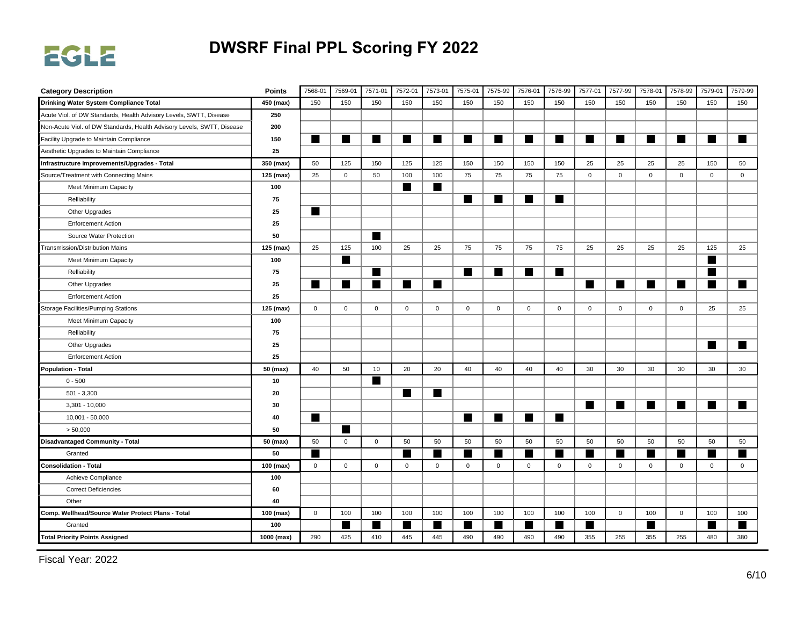

| <b>Category Description</b>                                            | <b>Points</b> | 7568-01     | 7569-01        | 7571-01     | 7572-01        | 7573-01     | 7575-01     | 7575-99        | 7576-01        | 7576-99        | 7577-01        | 7577-99        | 7578-01     | 7578-99      | 7579-01        | 7579-99     |
|------------------------------------------------------------------------|---------------|-------------|----------------|-------------|----------------|-------------|-------------|----------------|----------------|----------------|----------------|----------------|-------------|--------------|----------------|-------------|
| Drinking Water System Compliance Total                                 | 450 (max)     | 150         | 150            | 150         | 150            | 150         | 150         | 150            | 150            | 150            | 150            | 150            | 150         | 150          | 150            | 150         |
| Acute Viol. of DW Standards, Health Advisory Levels, SWTT, Disease     | 250           |             |                |             |                |             |             |                |                |                |                |                |             |              |                |             |
| Non-Acute Viol. of DW Standards, Health Advisory Levels, SWTT, Disease | 200           |             |                |             |                |             |             |                |                |                |                |                |             |              |                |             |
| Facility Upgrade to Maintain Compliance                                | 150           | ■           | ٠              | ▅           | ш              | ■           | ш           | ■              | ٠              | W              | ■              | ■              |             |              | ■              | ▅           |
| Aesthetic Upgrades to Maintain Compliance                              | 25            |             |                |             |                |             |             |                |                |                |                |                |             |              |                |             |
| Infrastructure Improvements/Upgrades - Total                           | 350 (max)     | 50          | 125            | 150         | 125            | 125         | 150         | 150            | 150            | 150            | 25             | 25             | 25          | 25           | 150            | 50          |
| Source/Treatment with Connecting Mains                                 | 125 (max)     | 25          | $\mathbf 0$    | 50          | 100            | 100         | 75          | 75             | 75             | 75             | $\mathbf 0$    | $\mathbf{0}$   | $\mathbf 0$ | $\mathbf{0}$ | $\mathbf 0$    | $\mathbf 0$ |
| Meet Minimum Capacity                                                  | 100           |             |                |             | $\blacksquare$ | ■           |             |                |                |                |                |                |             |              |                |             |
| Relliability                                                           | 75            |             |                |             |                |             | п           | $\blacksquare$ | $\blacksquare$ | $\blacksquare$ |                |                |             |              |                |             |
| Other Upgrades                                                         | 25            | ш           |                |             |                |             |             |                |                |                |                |                |             |              |                |             |
| <b>Enforcement Action</b>                                              | 25            |             |                |             |                |             |             |                |                |                |                |                |             |              |                |             |
| Source Water Protection                                                | 50            |             |                | ш           |                |             |             |                |                |                |                |                |             |              |                |             |
| <b>Transmission/Distribution Mains</b>                                 | 125 (max)     | 25          | 125            | 100         | 25             | 25          | 75          | 75             | 75             | 75             | 25             | 25             | 25          | 25           | 125            | 25          |
| Meet Minimum Capacity                                                  | 100           |             | ■              |             |                |             |             |                |                |                |                |                |             |              | ٠              |             |
| Relliability                                                           | 75            |             |                | ш           |                |             | ш           | ■              |                | H              |                |                |             |              | ٠              |             |
| Other Upgrades                                                         | 25            | ш           | $\blacksquare$ | ■           | $\blacksquare$ | ■           |             |                |                |                | ■              | ■              | ш           |              | H              | ■           |
| <b>Enforcement Action</b>                                              | 25            |             |                |             |                |             |             |                |                |                |                |                |             |              |                |             |
| <b>Storage Facilities/Pumping Stations</b>                             | 125 (max)     | $\mathsf 0$ | $\mathbf 0$    | $\mathbf 0$ | $\mathbf 0$    | 0           | $\mathbf 0$ | $\mathbf 0$    | 0              | $\mathsf 0$    | $\mathbf 0$    | $\mathbf 0$    | $\mathbf 0$ | $\mathbf 0$  | 25             | 25          |
| Meet Minimum Capacity                                                  | 100           |             |                |             |                |             |             |                |                |                |                |                |             |              |                |             |
| Relliability                                                           | 75            |             |                |             |                |             |             |                |                |                |                |                |             |              |                |             |
| Other Upgrades                                                         | 25            |             |                |             |                |             |             |                |                |                |                |                |             |              | ■              | ▅           |
| <b>Enforcement Action</b>                                              | 25            |             |                |             |                |             |             |                |                |                |                |                |             |              |                |             |
| <b>Population - Total</b>                                              | 50 (max)      | 40          | 50             | 10          | 20             | 20          | 40          | 40             | 40             | 40             | 30             | 30             | 30          | 30           | 30             | 30          |
| $0 - 500$                                                              | 10            |             |                | ■           |                |             |             |                |                |                |                |                |             |              |                |             |
| $501 - 3,300$                                                          | 20            |             |                |             | ш              | ■           |             |                |                |                |                |                |             |              |                |             |
| $3,301 - 10,000$                                                       | 30            |             |                |             |                |             |             |                |                |                | $\blacksquare$ | $\blacksquare$ | ш           | ■            | $\blacksquare$ | ■           |
| $10,001 - 50,000$                                                      | 40            | ш           |                |             |                |             | ш           | ш              |                | H              |                |                |             |              |                |             |
| > 50,000                                                               | 50            |             | ٠              |             |                |             |             |                |                |                |                |                |             |              |                |             |
| <b>Disadvantaged Community - Total</b>                                 | 50 (max)      | 50          | $\mathsf 0$    | $\mathsf 0$ | 50             | 50          | 50          | 50             | 50             | 50             | 50             | 50             | 50          | 50           | 50             | 50          |
| Granted                                                                | 50            |             |                |             |                |             |             |                |                | ٠              |                | ▅              |             |              |                |             |
| <b>Consolidation - Total</b>                                           | 100 (max)     | $\mathbf 0$ | $\mathbf 0$    | $\mathsf 0$ | $\mathsf 0$    | $\mathbf 0$ | $\mathbf 0$ | $\mathbf 0$    | $\mathbf{0}$   | $\mathsf 0$    | $\mathbf 0$    | $\mathsf 0$    | $\mathbf 0$ | $\mathbf 0$  | $\mathbf 0$    | $\mathbf 0$ |
| Achieve Compliance                                                     | 100           |             |                |             |                |             |             |                |                |                |                |                |             |              |                |             |
| <b>Correct Deficiencies</b>                                            | 60            |             |                |             |                |             |             |                |                |                |                |                |             |              |                |             |
| Other                                                                  | 40            |             |                |             |                |             |             |                |                |                |                |                |             |              |                |             |
| Comp. Wellhead/Source Water Protect Plans - Total                      | 100 (max)     | $\mathbf 0$ | 100            | 100         | 100            | 100         | 100         | 100            | 100            | 100            | 100            | $\mathbf 0$    | 100         | $\mathbf 0$  | 100            | 100         |
| Granted                                                                | 100           |             | ٠              |             | ш              |             |             |                | ٠              | W              | ▄              |                |             |              | ٠              |             |
| <b>Total Priority Points Assigned</b>                                  | 1000 (max)    | 290         | 425            | 410         | 445            | 445         | 490         | 490            | 490            | 490            | 355            | 255            | 355         | 255          | 480            | 380         |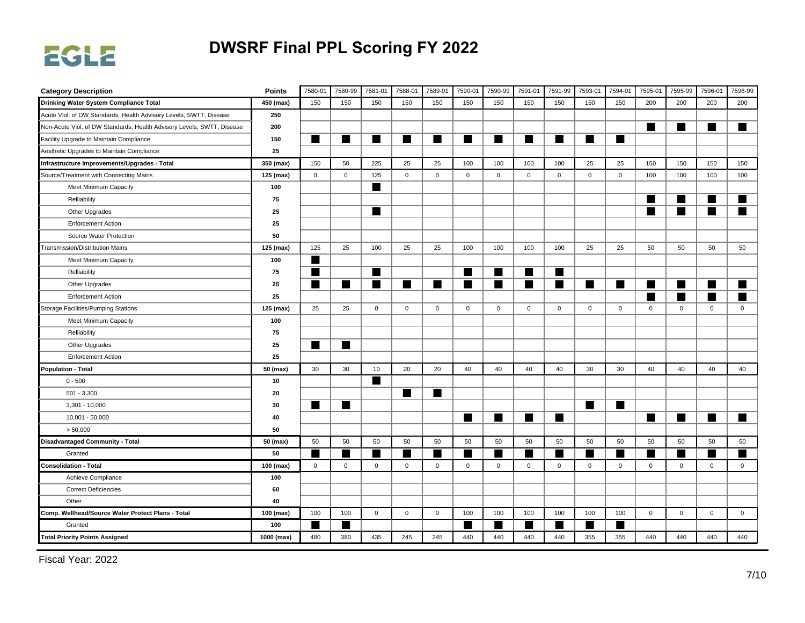

| <b>Category Description</b>                                            | <b>Points</b> | 7580-01     | 7580-99     | 7581-01      | 7588-01        | 7589-01      | 7590-01     | 7590-99        | 7591-01     | 7591-99      | 7593-01        | 7594-01     | 7595-01     | 7595-99     | 7596-01      | 7596-99     |
|------------------------------------------------------------------------|---------------|-------------|-------------|--------------|----------------|--------------|-------------|----------------|-------------|--------------|----------------|-------------|-------------|-------------|--------------|-------------|
| Drinking Water System Compliance Total                                 | 450 (max)     | 150         | 150         | 150          | 150            | 150          | 150         | 150            | 150         | 150          | 150            | 150         | 200         | 200         | 200          | 200         |
| Acute Viol. of DW Standards, Health Advisory Levels, SWTT, Disease     | 250           |             |             |              |                |              |             |                |             |              |                |             |             |             |              |             |
| Non-Acute Viol. of DW Standards, Health Advisory Levels, SWTT, Disease | 200           |             |             |              |                |              |             |                |             |              |                |             |             | ■           | ٠            | ▅           |
| Facility Upgrade to Maintain Compliance                                | 150           | ■           | ٠           | <b>START</b> | ■              | ■            | п           | ▄              | ٠           | ▉            | ▅              | ■           |             |             |              |             |
| Aesthetic Upgrades to Maintain Compliance                              | 25            |             |             |              |                |              |             |                |             |              |                |             |             |             |              |             |
| Infrastructure Improvements/Upgrades - Total                           | 350 (max)     | 150         | 50          | 225          | 25             | 25           | 100         | 100            | 100         | 100          | 25             | 25          | 150         | 150         | 150          | 150         |
| Source/Treatment with Connecting Mains                                 | 125 (max)     | $\mathsf 0$ | $\mathsf 0$ | 125          | $\mathbf 0$    | $\mathbf 0$  | $\mathbf 0$ | $\mathbf 0$    | $\mathbf 0$ | $\mathsf 0$  | $\mathbf 0$    | $\mathbf 0$ | 100         | 100         | 100          | 100         |
| Meet Minimum Capacity                                                  | 100           |             |             | ▉            |                |              |             |                |             |              |                |             |             |             |              |             |
| Relliability                                                           | 75            |             |             |              |                |              |             |                |             |              |                |             |             | ш           | W            | ▅           |
| Other Upgrades                                                         | 25            |             |             | ■            |                |              |             |                |             |              |                |             | ш           | ш           | ■            | ▅           |
| <b>Enforcement Action</b>                                              | 25            |             |             |              |                |              |             |                |             |              |                |             |             |             |              |             |
| Source Water Protection                                                | 50            |             |             |              |                |              |             |                |             |              |                |             |             |             |              |             |
| Transmission/Distribution Mains                                        | 125 (max)     | 125         | 25          | 100          | 25             | 25           | 100         | 100            | 100         | 100          | 25             | 25          | 50          | 50          | 50           | 50          |
| Meet Minimum Capacity                                                  | 100           | ш           |             |              |                |              |             |                |             |              |                |             |             |             |              |             |
| Relliability                                                           | 75            | ■           |             | H            |                |              | п           | ▄              | ٠           | ■            |                |             |             |             |              |             |
| Other Upgrades                                                         | 25            | ■           |             | ■            | $\blacksquare$ | ■            | ■           | $\blacksquare$ |             | ■            | $\blacksquare$ | ■           |             | ш           | ٠            |             |
| <b>Enforcement Action</b>                                              | 25            |             |             |              |                |              |             |                |             |              |                |             |             |             | ▅            |             |
| <b>Storage Facilities/Pumping Stations</b>                             | 125 (max)     | 25          | 25          | $\mathbf 0$  | $\mathbf 0$    | $\mathsf{O}$ | $\mathbf 0$ | $\mathbf{0}$   | $\mathbf 0$ | $\mathsf{O}$ | $\mathbf 0$    | $\mathbf 0$ | $\mathbf 0$ | $\mathbf 0$ | 0            | $\mathbf 0$ |
| Meet Minimum Capacity                                                  | 100           |             |             |              |                |              |             |                |             |              |                |             |             |             |              |             |
| Relliability                                                           | 75            |             |             |              |                |              |             |                |             |              |                |             |             |             |              |             |
| Other Upgrades                                                         | 25            | ٠           | ĸ           |              |                |              |             |                |             |              |                |             |             |             |              |             |
| <b>Enforcement Action</b>                                              | 25            |             |             |              |                |              |             |                |             |              |                |             |             |             |              |             |
| <b>Population - Total</b>                                              | 50 (max)      | 30          | 30          | 10           | 20             | 20           | 40          | 40             | 40          | 40           | 30             | 30          | 40          | 40          | 40           | 40          |
| $0 - 500$                                                              | 10            |             |             | ▉            |                |              |             |                |             |              |                |             |             |             |              |             |
| $501 - 3,300$                                                          | 20            |             |             |              | ш              | ■            |             |                |             |              |                |             |             |             |              |             |
| $3,301 - 10,000$                                                       | 30            | ш           | ш           |              |                |              |             |                |             |              | $\blacksquare$ | ■           |             |             |              |             |
| 10,001 - 50,000                                                        | 40            |             |             |              |                |              | п           | ■              | ■           | ■            |                |             | a se        | ш           |              | W           |
| > 50,000                                                               | 50            |             |             |              |                |              |             |                |             |              |                |             |             |             |              |             |
| <b>Disadvantaged Community - Total</b>                                 | 50 (max)      | 50          | 50          | 50           | 50             | 50           | 50          | 50             | 50          | 50           | 50             | 50          | 50          | 50          | 50           | 50          |
| Granted                                                                | 50            |             | ٠           |              | m              |              |             |                |             |              |                |             |             |             |              |             |
| <b>Consolidation - Total</b>                                           | 100 (max)     | $\mathsf 0$ | $\mathsf 0$ | $\mathbf 0$  | $\mathbf 0$    | $\mathbf 0$  | $\mathsf 0$ | $\mathbf 0$    | $\mathbf 0$ | $\mathsf 0$  | $\mathbf 0$    | $\mathbf 0$ | $\mathbf 0$ | $\mathbf 0$ | $\mathbf{0}$ | $\mathbf 0$ |
| Achieve Compliance                                                     | 100           |             |             |              |                |              |             |                |             |              |                |             |             |             |              |             |
| <b>Correct Deficiencies</b>                                            | 60            |             |             |              |                |              |             |                |             |              |                |             |             |             |              |             |
| Other                                                                  | 40            |             |             |              |                |              |             |                |             |              |                |             |             |             |              |             |
| Comp. Wellhead/Source Water Protect Plans - Total                      | 100 (max)     | 100         | 100         | $\mathbf 0$  | $\mathbf 0$    | $\mathbf 0$  | 100         | 100            | 100         | 100          | 100            | 100         | $\mathbf 0$ | $\mathbf 0$ | 0            | $\mathbf 0$ |
| Granted                                                                | 100           |             | ٠           |              |                |              |             |                | ٠           | ▅            | ■              |             |             |             |              |             |
| <b>Total Priority Points Assigned</b>                                  | 1000 (max)    | 480         | 380         | 435          | 245            | 245          | 440         | 440            | 440         | 440          | 355            | 355         | 440         | 440         | 440          | 440         |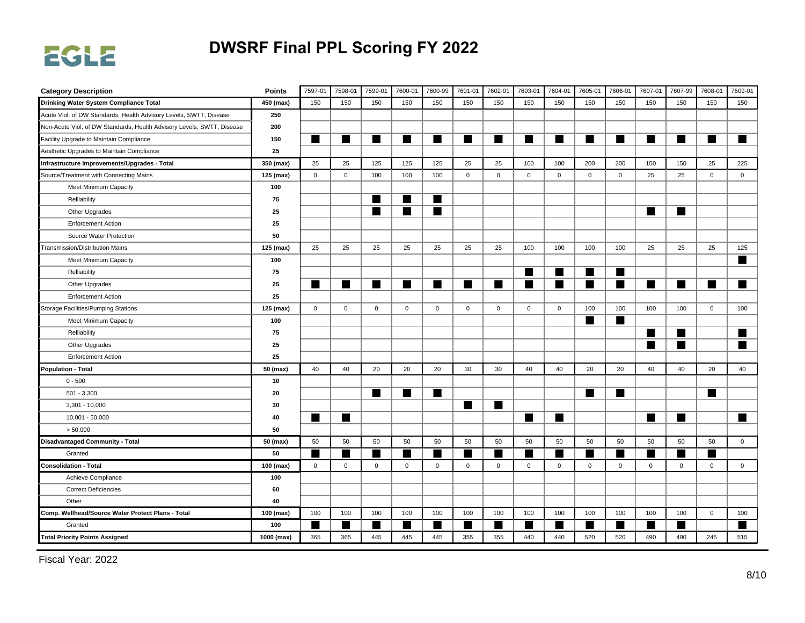

| <b>Category Description</b>                                            | <b>Points</b> | 7597-01     | 7598-01     | 7599-01     | 7600-01        | 7600-99     | 7601-01     | 7602-01     | 7603-01      | 7604-01      | 7605-01     | 7606-01      | 7607-01        | 7607-99     | 7608-01      | 7609-01     |
|------------------------------------------------------------------------|---------------|-------------|-------------|-------------|----------------|-------------|-------------|-------------|--------------|--------------|-------------|--------------|----------------|-------------|--------------|-------------|
| Drinking Water System Compliance Total                                 | 450 (max)     | 150         | 150         | 150         | 150            | 150         | 150         | 150         | 150          | 150          | 150         | 150          | 150            | 150         | 150          | 150         |
| Acute Viol. of DW Standards, Health Advisory Levels, SWTT, Disease     | 250           |             |             |             |                |             |             |             |              |              |             |              |                |             |              |             |
| Non-Acute Viol. of DW Standards, Health Advisory Levels, SWTT, Disease | 200           |             |             |             |                |             |             |             |              |              |             |              |                |             |              |             |
| Facility Upgrade to Maintain Compliance                                | 150           | ■           | ٠           | ▅           | ш              | ■           | ш           | ٠           | ▅            | ▅            | ▆           | ■            | ш              |             | ٠            | ٠           |
| Aesthetic Upgrades to Maintain Compliance                              | 25            |             |             |             |                |             |             |             |              |              |             |              |                |             |              |             |
| Infrastructure Improvements/Upgrades - Total                           | 350 (max)     | 25          | 25          | 125         | 125            | 125         | 25          | 25          | 100          | 100          | 200         | 200          | 150            | 150         | 25           | 225         |
| Source/Treatment with Connecting Mains                                 | 125 (max)     | $\mathbf 0$ | $\mathbf 0$ | 100         | 100            | 100         | $\mathbf 0$ | $\mathbf 0$ | $\mathbf 0$  | $\mathsf 0$  | $\mathbf 0$ | $\mathbf 0$  | 25             | 25          | $\mathbf 0$  | $\mathsf 0$ |
| Meet Minimum Capacity                                                  | 100           |             |             |             |                |             |             |             |              |              |             |              |                |             |              |             |
| Relliability                                                           | 75            |             |             | W           | $\blacksquare$ | ш           |             |             |              |              |             |              |                |             |              |             |
| Other Upgrades                                                         | 25            |             |             | ш           | $\blacksquare$ | ■           |             |             |              |              |             |              | $\blacksquare$ | ш           |              |             |
| <b>Enforcement Action</b>                                              | 25            |             |             |             |                |             |             |             |              |              |             |              |                |             |              |             |
| Source Water Protection                                                | 50            |             |             |             |                |             |             |             |              |              |             |              |                |             |              |             |
| Transmission/Distribution Mains                                        | 125 (max)     | 25          | 25          | 25          | 25             | 25          | 25          | 25          | 100          | 100          | 100         | 100          | 25             | 25          | 25           | 125         |
| Meet Minimum Capacity                                                  | 100           |             |             |             |                |             |             |             |              |              |             |              |                |             |              | ■           |
| Relliability                                                           | 75            |             |             |             |                |             |             |             | ■            | H            | ■           | ш            |                |             |              |             |
| Other Upgrades                                                         | 25            | ■           |             | ш           | $\blacksquare$ | ■           | ш           |             |              | ■            | ■           | ■            | ш              |             | ٠            | ■           |
| <b>Enforcement Action</b>                                              | 25            |             |             |             |                |             |             |             |              |              |             |              |                |             |              |             |
| <b>Storage Facilities/Pumping Stations</b>                             | 125 (max)     | $\mathbf 0$ | $\mathbf 0$ | $\mathbf 0$ | $\mathsf 0$    | 0           | $\mathbf 0$ | $\mathbf 0$ | $\mathsf{O}$ | $\mathsf{O}$ | 100         | 100          | 100            | 100         | $\mathbf 0$  | 100         |
| Meet Minimum Capacity                                                  | 100           |             |             |             |                |             |             |             |              |              | ■           | ■            |                |             |              |             |
| Relliability                                                           | 75            |             |             |             |                |             |             |             |              |              |             |              | н              |             |              |             |
| Other Upgrades                                                         | 25            |             |             |             |                |             |             |             |              |              |             |              | ш              | ш           |              | ■           |
| <b>Enforcement Action</b>                                              | 25            |             |             |             |                |             |             |             |              |              |             |              |                |             |              |             |
| <b>Population - Total</b>                                              | 50 (max)      | 40          | 40          | 20          | 20             | 20          | 30          | 30          | 40           | 40           | 20          | 20           | 40             | 40          | 20           | 40          |
| $0 - 500$                                                              | 10            |             |             |             |                |             |             |             |              |              |             |              |                |             |              |             |
| $501 - 3,300$                                                          | 20            |             |             | ш           | ш              | ■           |             |             |              |              | ■           | ■            |                |             | ш            |             |
| $3,301 - 10,000$                                                       | 30            |             |             |             |                |             | ш           | ■           |              |              |             |              |                |             |              |             |
| 10,001 - 50,000                                                        | 40            | ■           |             |             |                |             |             |             | ■            | ▅            |             |              | ш              | ш           |              |             |
| > 50,000                                                               | 50            |             |             |             |                |             |             |             |              |              |             |              |                |             |              |             |
| <b>Disadvantaged Community - Total</b>                                 | 50 (max)      | 50          | 50          | 50          | 50             | 50          | 50          | 50          | 50           | 50           | 50          | 50           | 50             | 50          | 50           | $\mathbf 0$ |
| Granted                                                                | 50            |             |             |             | <b>START</b>   |             |             |             |              | ٠            |             |              |                |             |              |             |
| <b>Consolidation - Total</b>                                           | 100 (max)     | $\mathbf 0$ | $\mathbf 0$ | $\mathbf 0$ | $\mathsf 0$    | $\mathbf 0$ | $\mathsf 0$ | $\mathbf 0$ | $\mathbf{0}$ | $\mathsf 0$  | $\mathbf 0$ | $\mathsf 0$  | $\mathbf 0$    | $\mathbf 0$ | $\mathbf{0}$ | $\mathbf 0$ |
| Achieve Compliance                                                     | 100           |             |             |             |                |             |             |             |              |              |             |              |                |             |              |             |
| <b>Correct Deficiencies</b>                                            | 60            |             |             |             |                |             |             |             |              |              |             |              |                |             |              |             |
| Other                                                                  | 40            |             |             |             |                |             |             |             |              |              |             |              |                |             |              |             |
| Comp. Wellhead/Source Water Protect Plans - Total                      | 100 (max)     | 100         | 100         | 100         | 100            | 100         | 100         | 100         | 100          | 100          | 100         | 100          | 100            | 100         | $\mathsf 0$  | 100         |
| Granted                                                                | 100           |             | ٠           |             | ш              |             |             |             | ٠            | ▅            |             | <b>START</b> |                |             |              | ٠           |
| <b>Total Priority Points Assigned</b>                                  | 1000 (max)    | 365         | 365         | 445         | 445            | 445         | 355         | 355         | 440          | 440          | 520         | 520          | 490            | 490         | 245          | 515         |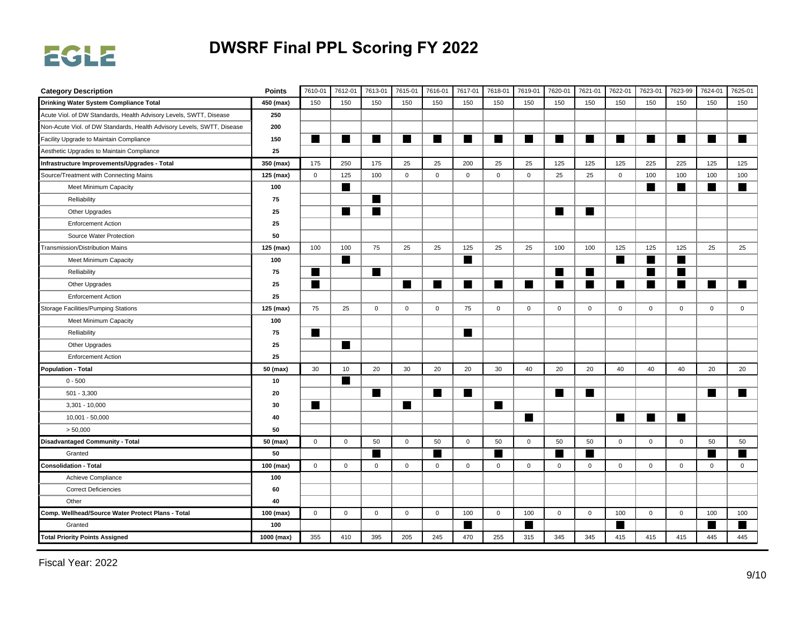

| <b>Category Description</b>                                            | <b>Points</b> | 7610-01      | 7612-01        | 7613-01      | 7615-01        | 7616-01     | 7617-01     | 7618-01     | 7619-01     | 7620-01        | 7621-01      | 7622-01     | 7623-01     | 7623-99     | 7624-01        | 7625-01     |
|------------------------------------------------------------------------|---------------|--------------|----------------|--------------|----------------|-------------|-------------|-------------|-------------|----------------|--------------|-------------|-------------|-------------|----------------|-------------|
| Drinking Water System Compliance Total                                 | 450 (max)     | 150          | 150            | 150          | 150            | 150         | 150         | 150         | 150         | 150            | 150          | 150         | 150         | 150         | 150            | 150         |
| Acute Viol. of DW Standards, Health Advisory Levels, SWTT, Disease     | 250           |              |                |              |                |             |             |             |             |                |              |             |             |             |                |             |
| Non-Acute Viol. of DW Standards, Health Advisory Levels, SWTT, Disease | 200           |              |                |              |                |             |             |             |             |                |              |             |             |             |                |             |
| Facility Upgrade to Maintain Compliance                                | 150           | ■            | ٠              | ▅            | ш              | ■           | ш           | ■           | ▅           | H              | ▆            | ш           | ш           |             | ٠              | ٠           |
| Aesthetic Upgrades to Maintain Compliance                              | 25            |              |                |              |                |             |             |             |             |                |              |             |             |             |                |             |
| Infrastructure Improvements/Upgrades - Total                           | 350 (max)     | 175          | 250            | 175          | 25             | 25          | 200         | 25          | 25          | 125            | 125          | 125         | 225         | 225         | 125            | 125         |
| Source/Treatment with Connecting Mains                                 | 125 (max)     | $\mathbf{0}$ | 125            | 100          | $\mathbf 0$    | $\mathbf 0$ | $\mathbf 0$ | $\mathbf 0$ | $\mathbf 0$ | 25             | 25           | $\mathbf 0$ | 100         | 100         | 100            | 100         |
| Meet Minimum Capacity                                                  | 100           |              | H              |              |                |             |             |             |             |                |              |             | п           | п           | $\blacksquare$ | ■           |
| Relliability                                                           | 75            |              |                | ш            |                |             |             |             |             |                |              |             |             |             |                |             |
| Other Upgrades                                                         | 25            |              | $\blacksquare$ | ш            |                |             |             |             |             | $\blacksquare$ | ш            |             |             |             |                |             |
| <b>Enforcement Action</b>                                              | 25            |              |                |              |                |             |             |             |             |                |              |             |             |             |                |             |
| Source Water Protection                                                | 50            |              |                |              |                |             |             |             |             |                |              |             |             |             |                |             |
| Transmission/Distribution Mains                                        | 125 (max)     | 100          | 100            | 75           | 25             | 25          | 125         | 25          | 25          | 100            | 100          | 125         | 125         | 125         | 25             | 25          |
| Meet Minimum Capacity                                                  | 100           |              | ■              |              |                |             | ш           |             |             |                |              | ш           | ш           | ш           |                |             |
| Relliability                                                           | 75            |              |                | ш            |                |             |             |             |             | H              | ■            |             |             |             |                |             |
| Other Upgrades                                                         | 25            | ш            |                |              | $\blacksquare$ | ■           | ш           |             | H           | ■              | ■            | ■           | ■           |             | ٠              | ٠           |
| <b>Enforcement Action</b>                                              | 25            |              |                |              |                |             |             |             |             |                |              |             |             |             |                |             |
| Storage Facilities/Pumping Stations                                    | 125 (max)     | 75           | 25             | $\mathbf{0}$ | $\mathbf 0$    | $\mathbf 0$ | 75          | $\mathbf 0$ | $\mathbf 0$ | $\mathbf{0}$   | $\mathbf 0$  | $\mathbf 0$ | $\mathbf 0$ | $\mathbf 0$ | $\mathbf 0$    | $\mathbf 0$ |
| Meet Minimum Capacity                                                  | 100           |              |                |              |                |             |             |             |             |                |              |             |             |             |                |             |
| Relliability                                                           | 75            | ■            |                |              |                |             | ш           |             |             |                |              |             |             |             |                |             |
| Other Upgrades                                                         | 25            |              | H              |              |                |             |             |             |             |                |              |             |             |             |                |             |
| <b>Enforcement Action</b>                                              | 25            |              |                |              |                |             |             |             |             |                |              |             |             |             |                |             |
| <b>Population - Total</b>                                              | 50 (max)      | 30           | 10             | 20           | 30             | 20          | 20          | 30          | 40          | 20             | 20           | 40          | 40          | 40          | 20             | 20          |
| $0 - 500$                                                              | 10            |              |                |              |                |             |             |             |             |                |              |             |             |             |                |             |
| $501 - 3,300$                                                          | 20            |              |                | ш            |                | ■           | ш           |             |             | ▅              | ■            |             |             |             | ٠              | ٠           |
| $3,301 - 10,000$                                                       | 30            | ш            |                |              | ш              |             |             | ■           |             |                |              |             |             |             |                |             |
| 10,001 - 50,000                                                        | 40            |              |                |              |                |             |             |             | ■           |                |              | ■           | ш           | ш           |                |             |
| > 50,000                                                               | 50            |              |                |              |                |             |             |             |             |                |              |             |             |             |                |             |
| <b>Disadvantaged Community - Total</b>                                 | 50 (max)      | $\mathbf{0}$ | $\mathsf 0$    | 50           | $\mathbf 0$    | 50          | $\mathbf 0$ | 50          | $\mathbf 0$ | 50             | 50           | $\mathbf 0$ | $\mathbf 0$ | $\mathbf 0$ | 50             | 50          |
| Granted                                                                | 50            |              |                |              |                |             |             |             |             | ٠              |              |             |             |             |                | ٠           |
| <b>Consolidation - Total</b>                                           | 100 (max)     | $\mathsf 0$  | $\mathsf{O}$   | $\mathbf 0$  | $\mathbf 0$    | $\mathbf 0$ | $\mathbf 0$ | $\mathbf 0$ | $\mathbf 0$ | $\mathbf 0$    | $\mathbf{0}$ | $\mathbf 0$ | $\mathbf 0$ | $\mathbf 0$ | $\mathsf{O}$   | $\mathsf 0$ |
| Achieve Compliance                                                     | 100           |              |                |              |                |             |             |             |             |                |              |             |             |             |                |             |
| <b>Correct Deficiencies</b>                                            | 60            |              |                |              |                |             |             |             |             |                |              |             |             |             |                |             |
| Other                                                                  | 40            |              |                |              |                |             |             |             |             |                |              |             |             |             |                |             |
| Comp. Wellhead/Source Water Protect Plans - Total                      | 100 (max)     | $\mathbf 0$  | $\mathbf 0$    | $\mathsf 0$  | $\mathsf 0$    | $\mathsf 0$ | 100         | $\mathsf 0$ | 100         | $\mathsf 0$    | $\mathsf 0$  | 100         | $\mathsf 0$ | $\mathbf 0$ | 100            | 100         |
| Granted                                                                | 100           |              |                |              |                |             |             |             | ▅           |                |              |             |             |             | ٠              |             |
| <b>Total Priority Points Assigned</b>                                  | 1000 (max)    | 355          | 410            | 395          | 205            | 245         | 470         | 255         | 315         | 345            | 345          | 415         | 415         | 415         | 445            | 445         |